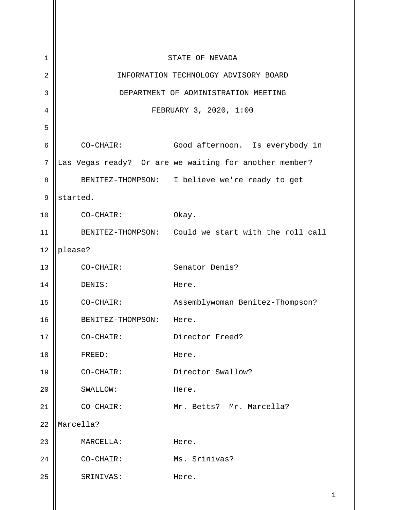1 2 3 4 5 6 7 8 9 10 11 12 13 14 15 16 17 18 19 20 21 22 23 24 25 STATE OF NEVADA INFORMATION TECHNOLOGY ADVISORY BOARD DEPARTMENT OF ADMINISTRATION MEETING FEBRUARY 3, 2020, 1:00 CO-CHAIR: Good afternoon. Is everybody in Las Vegas ready? Or are we waiting for another member? BENITEZ-THOMPSON: I believe we're ready to get started. CO-CHAIR: Okay. BENITEZ-THOMPSON: Could we start with the roll call please? CO-CHAIR: Senator Denis? DENIS: Here. CO-CHAIR: Assemblywoman Benitez-Thompson? BENITEZ-THOMPSON: Here. CO-CHAIR: Director Freed? FREED: Here. CO-CHAIR: Director Swallow? SWALLOW: Here. CO-CHAIR: Mr. Betts? Mr. Marcella? Marcella? MARCELLA: Here. CO-CHAIR: Ms. Srinivas? SRINIVAS: Here.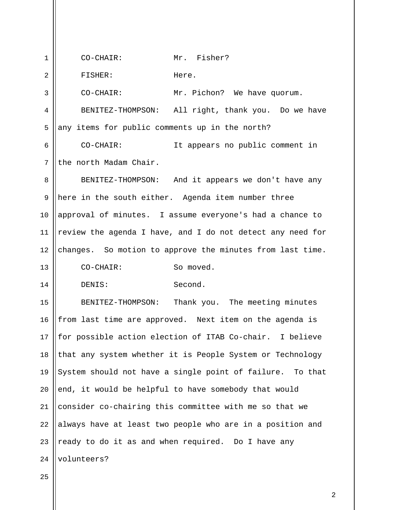1 2 3 4 5 6 7 8 9 10 11 12 13 14 15 16 17 18 19 20 21 22 23 24 CO-CHAIR: Mr. Fisher? FISHER: Here. CO-CHAIR: Mr. Pichon? We have quorum. BENITEZ-THOMPSON: All right, thank you. Do we have any items for public comments up in the north? CO-CHAIR: It appears no public comment in the north Madam Chair. BENITEZ-THOMPSON: And it appears we don't have any here in the south either. Agenda item number three approval of minutes. I assume everyone's had a chance to review the agenda I have, and I do not detect any need for changes. So motion to approve the minutes from last time. CO-CHAIR: So moved. DENIS: Second. BENITEZ-THOMPSON: Thank you. The meeting minutes from last time are approved. Next item on the agenda is for possible action election of ITAB Co-chair. I believe that any system whether it is People System or Technology System should not have a single point of failure. To that end, it would be helpful to have somebody that would consider co-chairing this committee with me so that we always have at least two people who are in a position and ready to do it as and when required. Do I have any volunteers?

25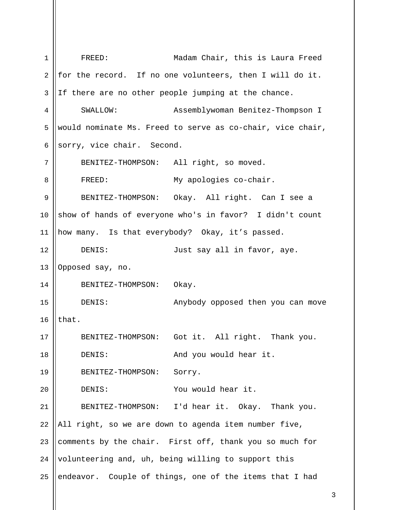1 2 3 4 5 6 7 8 9 10 11 12 13 14 15 16 17 18 19 20 21 22 23 24 25 FREED: Madam Chair, this is Laura Freed for the record. If no one volunteers, then I will do it. If there are no other people jumping at the chance. SWALLOW: Assemblywoman Benitez-Thompson I would nominate Ms. Freed to serve as co-chair, vice chair, sorry, vice chair. Second. BENITEZ-THOMPSON: All right, so moved. FREED: My apologies co-chair. BENITEZ-THOMPSON: Okay. All right. Can I see a show of hands of everyone who's in favor? I didn't count how many. Is that everybody? Okay, it's passed. DENIS: Just say all in favor, aye. Opposed say, no. BENITEZ-THOMPSON: Okay. DENIS: Anybody opposed then you can move that. BENITEZ-THOMPSON: Got it. All right. Thank you. DENIS: And you would hear it. BENITEZ-THOMPSON: Sorry. DENIS: You would hear it. BENITEZ-THOMPSON: I'd hear it. Okay. Thank you. All right, so we are down to agenda item number five, comments by the chair. First off, thank you so much for volunteering and, uh, being willing to support this endeavor. Couple of things, one of the items that I had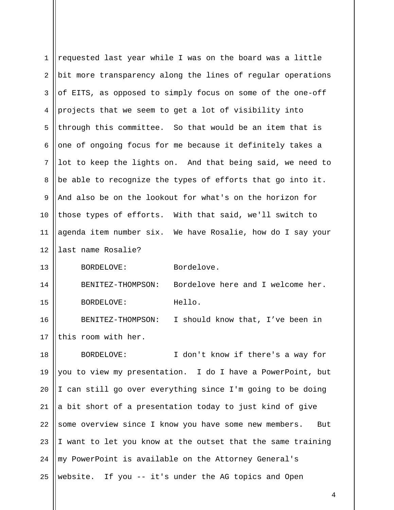| $\mathbf{1}$   | requested last year while I was on the board was a little    |
|----------------|--------------------------------------------------------------|
| $\overline{2}$ | bit more transparency along the lines of regular operations  |
| 3              | of EITS, as opposed to simply focus on some of the one-off   |
| 4              | projects that we seem to get a lot of visibility into        |
| 5              | through this committee. So that would be an item that is     |
| 6              | one of ongoing focus for me because it definitely takes a    |
| 7              | lot to keep the lights on. And that being said, we need to   |
| 8              | be able to recognize the types of efforts that go into it.   |
| $\mathsf 9$    | And also be on the lookout for what's on the horizon for     |
| 10             | those types of efforts. With that said, we'll switch to      |
| 11             | agenda item number six. We have Rosalie, how do I say your   |
| 12             | last name Rosalie?                                           |
| 13             | Bordelove.<br>BORDELOVE:                                     |
| 14             | Bordelove here and I welcome her.<br>BENITEZ-THOMPSON:       |
| 15             | Hello.<br>BORDELOVE:                                         |
| 16             | I should know that, I've been in<br>BENITEZ-THOMPSON:        |
| 17             | this room with her.                                          |
| 18             | I don't know if there's a way for<br>BORDELOVE:              |
| 19             | you to view my presentation. I do I have a PowerPoint, but   |
| 20             | I can still go over everything since I'm going to be doing   |
| 21             | a bit short of a presentation today to just kind of give     |
| 22             | some overview since I know you have some new members.<br>But |
| 23             | I want to let you know at the outset that the same training  |
| 24             | my PowerPoint is available on the Attorney General's         |
| 25             | website. If you -- it's under the AG topics and Open         |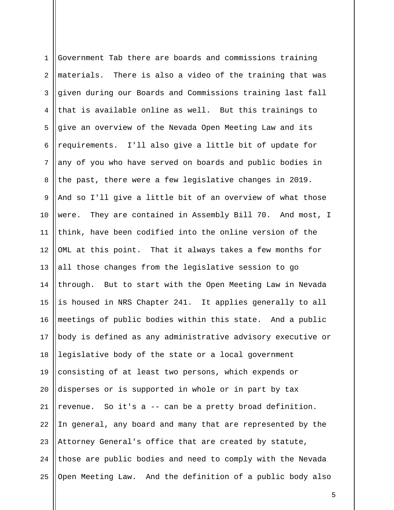| $\mathbf 1$    | Government Tab there are boards and commissions training    |
|----------------|-------------------------------------------------------------|
| $\overline{2}$ | materials. There is also a video of the training that was   |
| 3              | given during our Boards and Commissions training last fall  |
| 4              | that is available online as well. But this trainings to     |
| 5              | give an overview of the Nevada Open Meeting Law and its     |
| 6              | requirements. I'll also give a little bit of update for     |
| $7\phantom{.}$ | any of you who have served on boards and public bodies in   |
| 8              | the past, there were a few legislative changes in 2019.     |
| 9              | And so I'll give a little bit of an overview of what those  |
| 10             | were. They are contained in Assembly Bill 70. And most, I   |
| 11             | think, have been codified into the online version of the    |
| 12             | OML at this point. That it always takes a few months for    |
| 13             | all those changes from the legislative session to go        |
| 14             | through. But to start with the Open Meeting Law in Nevada   |
| 15             | is housed in NRS Chapter 241. It applies generally to all   |
| 16             | meetings of public bodies within this state. And a public   |
| 17             | body is defined as any administrative advisory executive or |
| 18             | legislative body of the state or a local government         |
| 19             | consisting of at least two persons, which expends or        |
| 20             | disperses or is supported in whole or in part by tax        |
| 21             | So it's a -- can be a pretty broad definition.<br>revenue.  |
| 22             | In general, any board and many that are represented by the  |
| 23             | Attorney General's office that are created by statute,      |
| 24             | those are public bodies and need to comply with the Nevada  |
| 25             | Open Meeting Law. And the definition of a public body also  |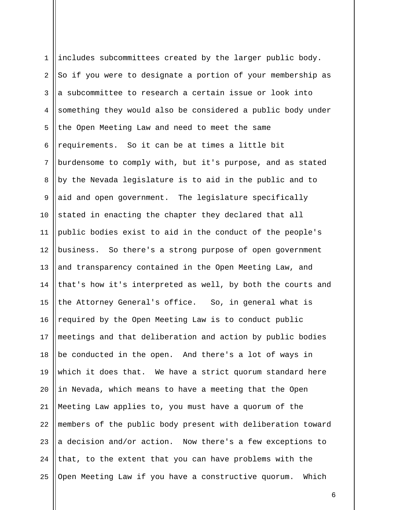| $\mathbf 1$ | includes subcommittees created by the larger public body.    |
|-------------|--------------------------------------------------------------|
| 2           | So if you were to designate a portion of your membership as  |
| 3           | a subcommittee to research a certain issue or look into      |
| 4           | something they would also be considered a public body under  |
| 5           | the Open Meeting Law and need to meet the same               |
| 6           | requirements. So it can be at times a little bit             |
| 7           | burdensome to comply with, but it's purpose, and as stated   |
| 8           | by the Nevada legislature is to aid in the public and to     |
| $\mathsf 9$ | aid and open government. The legislature specifically        |
| 10          | stated in enacting the chapter they declared that all        |
| 11          | public bodies exist to aid in the conduct of the people's    |
| 12          | business. So there's a strong purpose of open government     |
| 13          | and transparency contained in the Open Meeting Law, and      |
| 14          | that's how it's interpreted as well, by both the courts and  |
| 15          | the Attorney General's office. So, in general what is        |
| 16          | required by the Open Meeting Law is to conduct public        |
| 17          | meetings and that deliberation and action by public bodies   |
| 18          | be conducted in the open. And there's a lot of ways in       |
| 19          | which it does that. We have a strict quorum standard here    |
| 20          | in Nevada, which means to have a meeting that the Open       |
| 21          | Meeting Law applies to, you must have a quorum of the        |
| 22          | members of the public body present with deliberation toward  |
| 23          | a decision and/or action. Now there's a few exceptions to    |
| 24          | that, to the extent that you can have problems with the      |
| 25          | Open Meeting Law if you have a constructive quorum.<br>Which |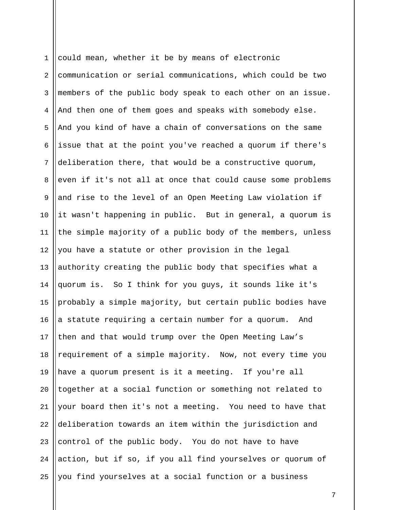1 2 3 4 5 6 7 8 9 10 11 12 13 14 15 16 17 18 19 20 21 22 23 24 25 could mean, whether it be by means of electronic communication or serial communications, which could be two members of the public body speak to each other on an issue. And then one of them goes and speaks with somebody else. And you kind of have a chain of conversations on the same issue that at the point you've reached a quorum if there's deliberation there, that would be a constructive quorum, even if it's not all at once that could cause some problems and rise to the level of an Open Meeting Law violation if it wasn't happening in public. But in general, a quorum is the simple majority of a public body of the members, unless you have a statute or other provision in the legal authority creating the public body that specifies what a quorum is. So I think for you guys, it sounds like it's probably a simple majority, but certain public bodies have a statute requiring a certain number for a quorum. And then and that would trump over the Open Meeting Law's requirement of a simple majority. Now, not every time you have a quorum present is it a meeting. If you're all together at a social function or something not related to your board then it's not a meeting. You need to have that deliberation towards an item within the jurisdiction and control of the public body. You do not have to have action, but if so, if you all find yourselves or quorum of you find yourselves at a social function or a business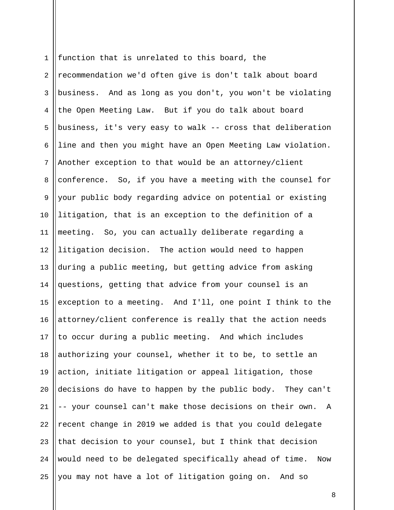1 2 3 4 5 6 7 8 9 10 11 12 13 14 15 16 17 18 19 20 21 22 23 24 25 function that is unrelated to this board, the recommendation we'd often give is don't talk about board business. And as long as you don't, you won't be violating the Open Meeting Law. But if you do talk about board business, it's very easy to walk -- cross that deliberation line and then you might have an Open Meeting Law violation. Another exception to that would be an attorney/client conference. So, if you have a meeting with the counsel for your public body regarding advice on potential or existing litigation, that is an exception to the definition of a meeting. So, you can actually deliberate regarding a litigation decision. The action would need to happen during a public meeting, but getting advice from asking questions, getting that advice from your counsel is an exception to a meeting. And I'll, one point I think to the attorney/client conference is really that the action needs to occur during a public meeting. And which includes authorizing your counsel, whether it to be, to settle an action, initiate litigation or appeal litigation, those decisions do have to happen by the public body. They can't -- your counsel can't make those decisions on their own. A recent change in 2019 we added is that you could delegate that decision to your counsel, but I think that decision would need to be delegated specifically ahead of time. Now you may not have a lot of litigation going on. And so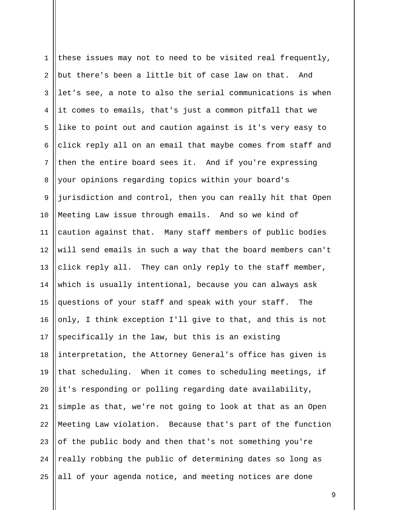| $\mathbf 1$    | these issues may not to need to be visited real frequently, |
|----------------|-------------------------------------------------------------|
| $\overline{2}$ | but there's been a little bit of case law on that. And      |
| 3              | let's see, a note to also the serial communications is when |
| 4              | it comes to emails, that's just a common pitfall that we    |
| 5              | like to point out and caution against is it's very easy to  |
| 6              | click reply all on an email that maybe comes from staff and |
| $7\phantom{.}$ | then the entire board sees it. And if you're expressing     |
| 8              | your opinions regarding topics within your board's          |
| 9              | jurisdiction and control, then you can really hit that Open |
| 10             | Meeting Law issue through emails. And so we kind of         |
| 11             | caution against that. Many staff members of public bodies   |
| 12             | will send emails in such a way that the board members can't |
| 13             | click reply all. They can only reply to the staff member,   |
| 14             | which is usually intentional, because you can always ask    |
| 15             | questions of your staff and speak with your staff. The      |
| 16             | only, I think exception I'll give to that, and this is not  |
| 17             | specifically in the law, but this is an existing            |
| 18             | interpretation, the Attorney General's office has given is  |
| 19             | that scheduling. When it comes to scheduling meetings, if   |
| 20             | it's responding or polling regarding date availability,     |
| 21             | simple as that, we're not going to look at that as an Open  |
| 22             | Meeting Law violation. Because that's part of the function  |
| 23             | of the public body and then that's not something you're     |
| 24             | really robbing the public of determining dates so long as   |
| 25             | all of your agenda notice, and meeting notices are done     |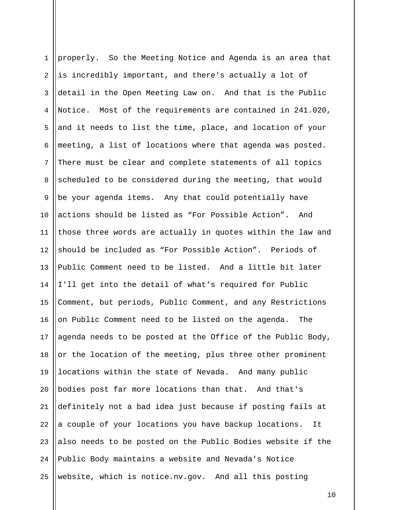| $\mathbf 1$    | properly. So the Meeting Notice and Agenda is an area that    |
|----------------|---------------------------------------------------------------|
| $\overline{2}$ | is incredibly important, and there's actually a lot of        |
| 3              | detail in the Open Meeting Law on. And that is the Public     |
| 4              | Notice.<br>Most of the requirements are contained in 241.020, |
| 5              | and it needs to list the time, place, and location of your    |
| 6              | meeting, a list of locations where that agenda was posted.    |
| 7              | There must be clear and complete statements of all topics     |
| 8              | scheduled to be considered during the meeting, that would     |
| 9              | be your agenda items. Any that could potentially have         |
| 10             | actions should be listed as "For Possible Action". And        |
| 11             | those three words are actually in quotes within the law and   |
| 12             | should be included as "For Possible Action". Periods of       |
| 13             | Public Comment need to be listed. And a little bit later      |
| 14             | I'll get into the detail of what's required for Public        |
| 15             | Comment, but periods, Public Comment, and any Restrictions    |
| 16             | on Public Comment need to be listed on the agenda. The        |
| 17             | agenda needs to be posted at the Office of the Public Body,   |
| 18             | or the location of the meeting, plus three other prominent    |
| 19             | locations within the state of Nevada. And many public         |
| 20             | bodies post far more locations than that. And that's          |
| 21             | definitely not a bad idea just because if posting fails at    |
| 22             | a couple of your locations you have backup locations.<br>It   |
| 23             | also needs to be posted on the Public Bodies website if the   |
| 24             | Public Body maintains a website and Nevada's Notice           |
| 25             | website, which is notice.nv.gov. And all this posting         |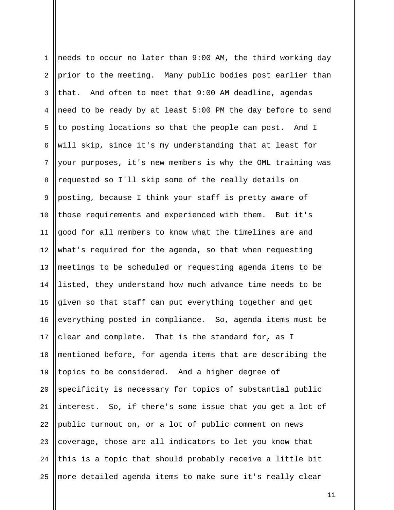1 2 3 4 5 6 7 8 9 10 11 12 13 14 15 16 17 18 19 20 21 22 23 24 25 needs to occur no later than 9:00 AM, the third working day prior to the meeting. Many public bodies post earlier than that. And often to meet that 9:00 AM deadline, agendas need to be ready by at least 5:00 PM the day before to send to posting locations so that the people can post. And I will skip, since it's my understanding that at least for your purposes, it's new members is why the OML training was requested so I'll skip some of the really details on posting, because I think your staff is pretty aware of those requirements and experienced with them. But it's good for all members to know what the timelines are and what's required for the agenda, so that when requesting meetings to be scheduled or requesting agenda items to be listed, they understand how much advance time needs to be given so that staff can put everything together and get everything posted in compliance. So, agenda items must be clear and complete. That is the standard for, as I mentioned before, for agenda items that are describing the topics to be considered. And a higher degree of specificity is necessary for topics of substantial public interest. So, if there's some issue that you get a lot of public turnout on, or a lot of public comment on news coverage, those are all indicators to let you know that this is a topic that should probably receive a little bit more detailed agenda items to make sure it's really clear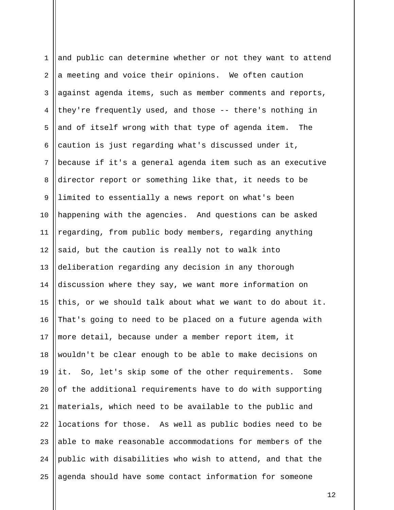| $\mathbf{1}$   | and public can determine whether or not they want to attend |
|----------------|-------------------------------------------------------------|
| $\overline{a}$ | a meeting and voice their opinions. We often caution        |
| 3              | against agenda items, such as member comments and reports,  |
| 4              | they're frequently used, and those -- there's nothing in    |
| 5              | and of itself wrong with that type of agenda item. The      |
| 6              | caution is just regarding what's discussed under it,        |
| 7              | because if it's a general agenda item such as an executive  |
| 8              | director report or something like that, it needs to be      |
| $\mathsf 9$    | limited to essentially a news report on what's been         |
| 10             | happening with the agencies. And questions can be asked     |
| 11             | regarding, from public body members, regarding anything     |
| 12             | said, but the caution is really not to walk into            |
| 13             | deliberation regarding any decision in any thorough         |
| 14             | discussion where they say, we want more information on      |
| 15             | this, or we should talk about what we want to do about it.  |
| 16             | That's going to need to be placed on a future agenda with   |
| 17             | more detail, because under a member report item, it         |
| 18             | wouldn't be clear enough to be able to make decisions on    |
| 19             | it. So, let's skip some of the other requirements. Some     |
| 20             | of the additional requirements have to do with supporting   |
| 21             | materials, which need to be available to the public and     |
| 22             | locations for those. As well as public bodies need to be    |
| 23             | able to make reasonable accommodations for members of the   |
| 24             | public with disabilities who wish to attend, and that the   |
| 25             | agenda should have some contact information for someone     |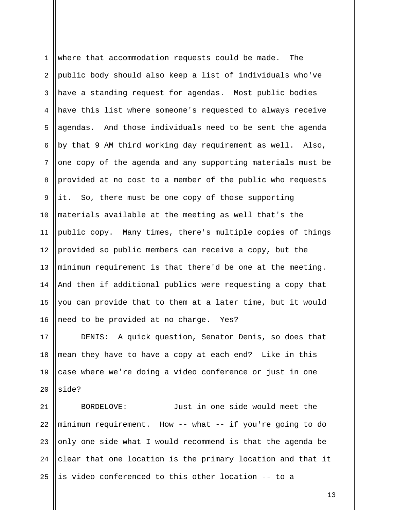1 2 3 4 5 6 7 8 9 10 11 12 13 14 15 16 where that accommodation requests could be made. The public body should also keep a list of individuals who've have a standing request for agendas. Most public bodies have this list where someone's requested to always receive agendas. And those individuals need to be sent the agenda by that 9 AM third working day requirement as well. Also, one copy of the agenda and any supporting materials must be provided at no cost to a member of the public who requests it. So, there must be one copy of those supporting materials available at the meeting as well that's the public copy. Many times, there's multiple copies of things provided so public members can receive a copy, but the minimum requirement is that there'd be one at the meeting. And then if additional publics were requesting a copy that you can provide that to them at a later time, but it would need to be provided at no charge. Yes?

17 18 19 20 DENIS: A quick question, Senator Denis, so does that mean they have to have a copy at each end? Like in this case where we're doing a video conference or just in one side?

21 22 23 24 25 BORDELOVE: Just in one side would meet the minimum requirement. How -- what -- if you're going to do only one side what I would recommend is that the agenda be clear that one location is the primary location and that it is video conferenced to this other location -- to a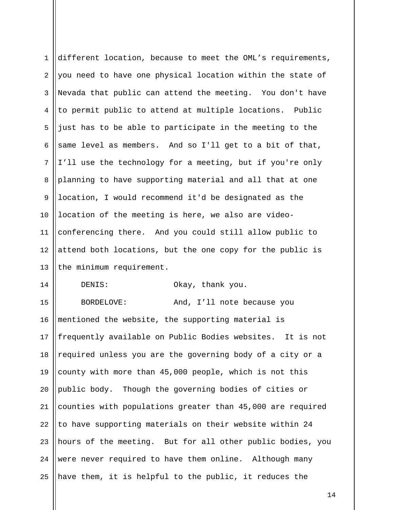1 2 3 4 5 6 7 8 9 10 11 12 13 14 15 16 different location, because to meet the OML's requirements, you need to have one physical location within the state of Nevada that public can attend the meeting. You don't have to permit public to attend at multiple locations. Public just has to be able to participate in the meeting to the same level as members. And so I'll get to a bit of that, I'll use the technology for a meeting, but if you're only planning to have supporting material and all that at one location, I would recommend it'd be designated as the location of the meeting is here, we also are videoconferencing there. And you could still allow public to attend both locations, but the one copy for the public is the minimum requirement. DENIS: Okay, thank you. BORDELOVE: And, I'll note because you mentioned the website, the supporting material is

17 18 19 20 21 22 23 24 25 frequently available on Public Bodies websites. It is not required unless you are the governing body of a city or a county with more than 45,000 people, which is not this public body. Though the governing bodies of cities or counties with populations greater than 45,000 are required to have supporting materials on their website within 24 hours of the meeting. But for all other public bodies, you were never required to have them online. Although many have them, it is helpful to the public, it reduces the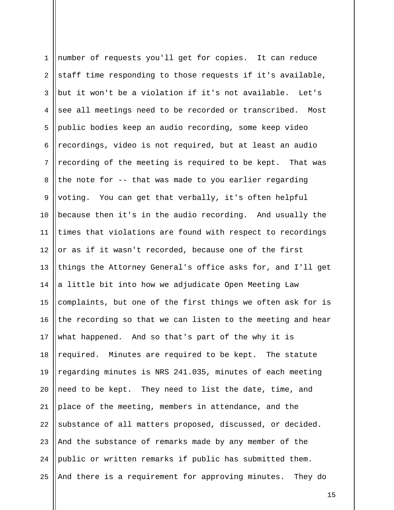| $\mathbf{1}$ | number of requests you'll get for copies. It can reduce      |
|--------------|--------------------------------------------------------------|
| 2            | staff time responding to those requests if it's available,   |
| 3            | but it won't be a violation if it's not available. Let's     |
| 4            | see all meetings need to be recorded or transcribed.<br>Most |
| 5            | public bodies keep an audio recording, some keep video       |
| 6            | recordings, video is not required, but at least an audio     |
| 7            | recording of the meeting is required to be kept. That was    |
| 8            | the note for -- that was made to you earlier regarding       |
| $\mathsf 9$  | voting. You can get that verbally, it's often helpful        |
| 10           | because then it's in the audio recording. And usually the    |
| 11           | times that violations are found with respect to recordings   |
| 12           | or as if it wasn't recorded, because one of the first        |
| 13           | things the Attorney General's office asks for, and I'll get  |
| 14           | a little bit into how we adjudicate Open Meeting Law         |
| 15           | complaints, but one of the first things we often ask for is  |
| 16           | the recording so that we can listen to the meeting and hear  |
| 17           | what happened. And so that's part of the why it is           |
| 18           | required. Minutes are required to be kept. The statute       |
| 19           | regarding minutes is NRS 241.035, minutes of each meeting    |
| 20           | need to be kept. They need to list the date, time, and       |
| 21           | place of the meeting, members in attendance, and the         |
| 22           | substance of all matters proposed, discussed, or decided.    |
| 23           | And the substance of remarks made by any member of the       |
| 24           | public or written remarks if public has submitted them.      |
| 25           | And there is a requirement for approving minutes. They do    |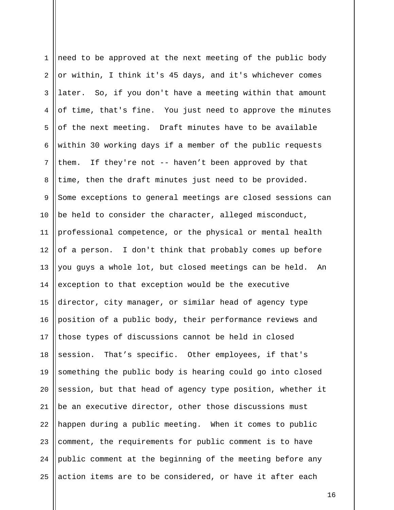| $\mathbf 1$ | need to be approved at the next meeting of the public body  |
|-------------|-------------------------------------------------------------|
| 2           | or within, I think it's 45 days, and it's whichever comes   |
| 3           | later. So, if you don't have a meeting within that amount   |
| 4           | of time, that's fine. You just need to approve the minutes  |
| 5           | of the next meeting. Draft minutes have to be available     |
| $\epsilon$  | within 30 working days if a member of the public requests   |
| 7           | them. If they're not -- haven't been approved by that       |
| 8           | time, then the draft minutes just need to be provided.      |
| 9           | Some exceptions to general meetings are closed sessions can |
| 10          | be held to consider the character, alleged misconduct,      |
| 11          | professional competence, or the physical or mental health   |
| 12          | of a person. I don't think that probably comes up before    |
| 13          | you guys a whole lot, but closed meetings can be held. An   |
| 14          | exception to that exception would be the executive          |
| 15          | director, city manager, or similar head of agency type      |
| 16          | position of a public body, their performance reviews and    |
| 17          | those types of discussions cannot be held in closed         |
| 18          | session. That's specific. Other employees, if that's        |
| 19          | something the public body is hearing could go into closed   |
| 20          | session, but that head of agency type position, whether it  |
| 21          | be an executive director, other those discussions must      |
| 22          | happen during a public meeting. When it comes to public     |
| 23          | comment, the requirements for public comment is to have     |
| 24          | public comment at the beginning of the meeting before any   |
| 25          | action items are to be considered, or have it after each    |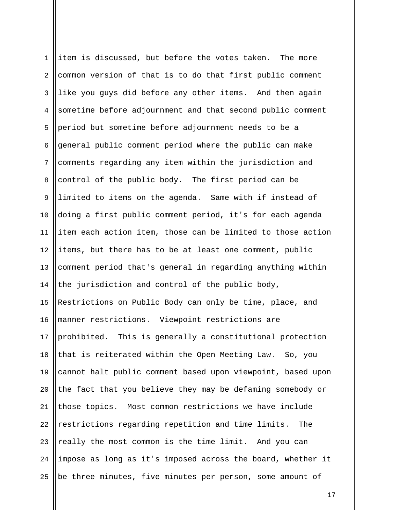| $\mathbf{1}$   | item is discussed, but before the votes taken. The more     |
|----------------|-------------------------------------------------------------|
| $\overline{a}$ | common version of that is to do that first public comment   |
| 3              | like you guys did before any other items. And then again    |
| 4              | sometime before adjournment and that second public comment  |
| 5              | period but sometime before adjournment needs to be a        |
| 6              | general public comment period where the public can make     |
| 7              | comments regarding any item within the jurisdiction and     |
| 8              | control of the public body. The first period can be         |
| 9              | limited to items on the agenda. Same with if instead of     |
| 10             | doing a first public comment period, it's for each agenda   |
| 11             | item each action item, those can be limited to those action |
| 12             | items, but there has to be at least one comment, public     |
| 13             | comment period that's general in regarding anything within  |
| 14             | the jurisdiction and control of the public body,            |
| 15             | Restrictions on Public Body can only be time, place, and    |
| 16             | manner restrictions. Viewpoint restrictions are             |
| 17             | prohibited. This is generally a constitutional protection   |
| 18             | that is reiterated within the Open Meeting Law. So, you     |
| 19             | cannot halt public comment based upon viewpoint, based upon |
| 20             | the fact that you believe they may be defaming somebody or  |
| 21             | those topics. Most common restrictions we have include      |
| 22             | restrictions regarding repetition and time limits.<br>The   |
| 23             | really the most common is the time limit. And you can       |
| 24             | impose as long as it's imposed across the board, whether it |
| 25             | be three minutes, five minutes per person, some amount of   |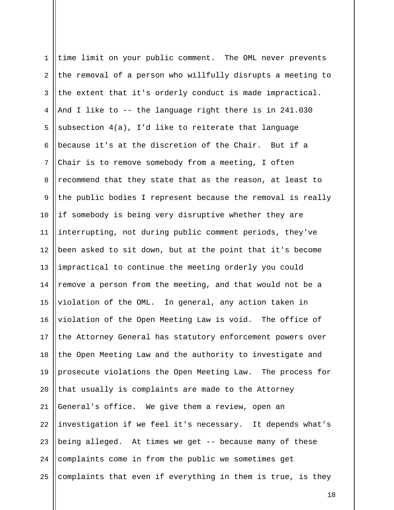1 2 3 4 5 6 7 8 9 10 11 12 13 14 15 16 17 18 19 20 21 22 23 24 25 time limit on your public comment. The OML never prevents the removal of a person who willfully disrupts a meeting to the extent that it's orderly conduct is made impractical. And I like to -- the language right there is in 241.030 subsection 4(a), I'd like to reiterate that language because it's at the discretion of the Chair. But if a Chair is to remove somebody from a meeting, I often recommend that they state that as the reason, at least to the public bodies I represent because the removal is really if somebody is being very disruptive whether they are interrupting, not during public comment periods, they've been asked to sit down, but at the point that it's become impractical to continue the meeting orderly you could remove a person from the meeting, and that would not be a violation of the OML. In general, any action taken in violation of the Open Meeting Law is void. The office of the Attorney General has statutory enforcement powers over the Open Meeting Law and the authority to investigate and prosecute violations the Open Meeting Law. The process for that usually is complaints are made to the Attorney General's office. We give them a review, open an investigation if we feel it's necessary. It depends what's being alleged. At times we get -- because many of these complaints come in from the public we sometimes get complaints that even if everything in them is true, is they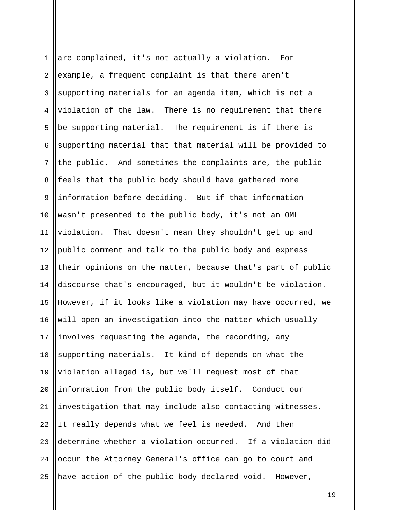1 2 3 4 5 6 7 8 9 10 11 12 13 14 15 16 17 18 19 20 21 22 23 24 25 are complained, it's not actually a violation. For example, a frequent complaint is that there aren't supporting materials for an agenda item, which is not a violation of the law. There is no requirement that there be supporting material. The requirement is if there is supporting material that that material will be provided to the public. And sometimes the complaints are, the public feels that the public body should have gathered more information before deciding. But if that information wasn't presented to the public body, it's not an OML violation. That doesn't mean they shouldn't get up and public comment and talk to the public body and express their opinions on the matter, because that's part of public discourse that's encouraged, but it wouldn't be violation. However, if it looks like a violation may have occurred, we will open an investigation into the matter which usually involves requesting the agenda, the recording, any supporting materials. It kind of depends on what the violation alleged is, but we'll request most of that information from the public body itself. Conduct our investigation that may include also contacting witnesses. It really depends what we feel is needed. And then determine whether a violation occurred. If a violation did occur the Attorney General's office can go to court and have action of the public body declared void. However,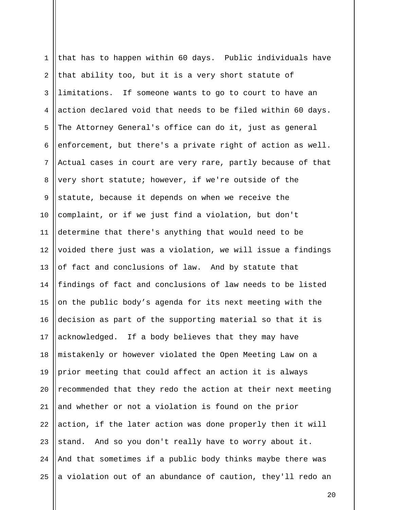| $\mathbf{1}$   | that has to happen within 60 days. Public individuals have  |
|----------------|-------------------------------------------------------------|
| 2              | that ability too, but it is a very short statute of         |
| 3              | limitations. If someone wants to go to court to have an     |
| 4              | action declared void that needs to be filed within 60 days. |
| 5              | The Attorney General's office can do it, just as general    |
| 6              | enforcement, but there's a private right of action as well. |
| $7\phantom{.}$ | Actual cases in court are very rare, partly because of that |
| 8              | very short statute; however, if we're outside of the        |
| $\mathsf 9$    | statute, because it depends on when we receive the          |
| 10             | complaint, or if we just find a violation, but don't        |
| 11             | determine that there's anything that would need to be       |
| 12             | voided there just was a violation, we will issue a findings |
| 13             | of fact and conclusions of law. And by statute that         |
| 14             | findings of fact and conclusions of law needs to be listed  |
| 15             | on the public body's agenda for its next meeting with the   |
| 16             | decision as part of the supporting material so that it is   |
| 17             | acknowledged. If a body believes that they may have         |
| 18             | mistakenly or however violated the Open Meeting Law on a    |
| 19             | prior meeting that could affect an action it is always      |
| 20             | recommended that they redo the action at their next meeting |
| 21             | and whether or not a violation is found on the prior        |
| 22             | action, if the later action was done properly then it will  |
| 23             | stand. And so you don't really have to worry about it.      |
| 24             | And that sometimes if a public body thinks maybe there was  |
| 25             | a violation out of an abundance of caution, they'll redo an |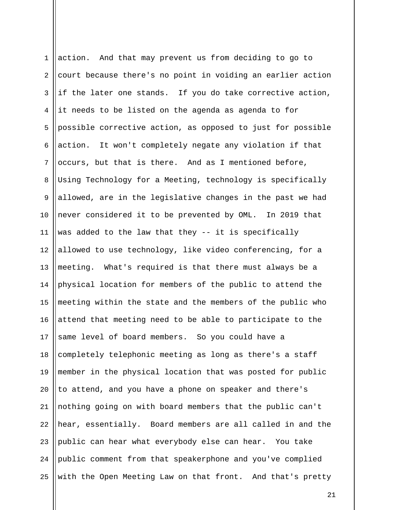1 2 3 4 5 6 7 8 9 10 11 12 13 14 15 16 17 18 19 20 21 22 23 24 25 action. And that may prevent us from deciding to go to court because there's no point in voiding an earlier action if the later one stands. If you do take corrective action, it needs to be listed on the agenda as agenda to for possible corrective action, as opposed to just for possible action. It won't completely negate any violation if that occurs, but that is there. And as I mentioned before, Using Technology for a Meeting, technology is specifically allowed, are in the legislative changes in the past we had never considered it to be prevented by OML. In 2019 that was added to the law that they -- it is specifically allowed to use technology, like video conferencing, for a meeting. What's required is that there must always be a physical location for members of the public to attend the meeting within the state and the members of the public who attend that meeting need to be able to participate to the same level of board members. So you could have a completely telephonic meeting as long as there's a staff member in the physical location that was posted for public to attend, and you have a phone on speaker and there's nothing going on with board members that the public can't hear, essentially. Board members are all called in and the public can hear what everybody else can hear. You take public comment from that speakerphone and you've complied with the Open Meeting Law on that front. And that's pretty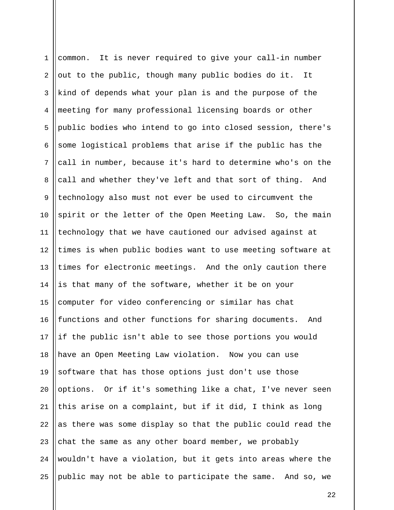1 2 3 4 5 6 7 8 9 10 11 12 13 14 15 16 17 18 19 20 21 22 23 24 25 common. It is never required to give your call-in number out to the public, though many public bodies do it. It kind of depends what your plan is and the purpose of the meeting for many professional licensing boards or other public bodies who intend to go into closed session, there's some logistical problems that arise if the public has the call in number, because it's hard to determine who's on the call and whether they've left and that sort of thing. And technology also must not ever be used to circumvent the spirit or the letter of the Open Meeting Law. So, the main technology that we have cautioned our advised against at times is when public bodies want to use meeting software at times for electronic meetings. And the only caution there is that many of the software, whether it be on your computer for video conferencing or similar has chat functions and other functions for sharing documents. And if the public isn't able to see those portions you would have an Open Meeting Law violation. Now you can use software that has those options just don't use those options. Or if it's something like a chat, I've never seen this arise on a complaint, but if it did, I think as long as there was some display so that the public could read the chat the same as any other board member, we probably wouldn't have a violation, but it gets into areas where the public may not be able to participate the same. And so, we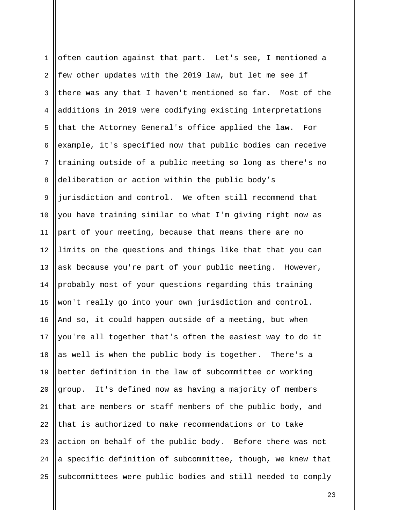1 2 3 4 5 6 7 8 9 10 11 12 13 14 15 16 17 18 19 20 21 22 23 24 25 often caution against that part. Let's see, I mentioned a few other updates with the 2019 law, but let me see if there was any that I haven't mentioned so far. Most of the additions in 2019 were codifying existing interpretations that the Attorney General's office applied the law. For example, it's specified now that public bodies can receive training outside of a public meeting so long as there's no deliberation or action within the public body's jurisdiction and control. We often still recommend that you have training similar to what I'm giving right now as part of your meeting, because that means there are no limits on the questions and things like that that you can ask because you're part of your public meeting. However, probably most of your questions regarding this training won't really go into your own jurisdiction and control. And so, it could happen outside of a meeting, but when you're all together that's often the easiest way to do it as well is when the public body is together. There's a better definition in the law of subcommittee or working group. It's defined now as having a majority of members that are members or staff members of the public body, and that is authorized to make recommendations or to take action on behalf of the public body. Before there was not a specific definition of subcommittee, though, we knew that subcommittees were public bodies and still needed to comply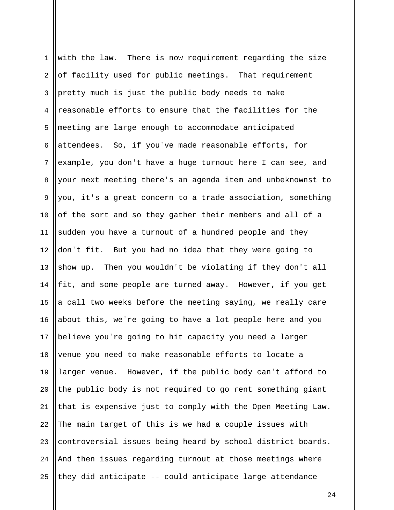1 2 3 4 5 6 7 8 9 10 11 12 13 14 15 16 17 18 19 20 21 22 23 24 25 with the law. There is now requirement regarding the size of facility used for public meetings. That requirement pretty much is just the public body needs to make reasonable efforts to ensure that the facilities for the meeting are large enough to accommodate anticipated attendees. So, if you've made reasonable efforts, for example, you don't have a huge turnout here I can see, and your next meeting there's an agenda item and unbeknownst to you, it's a great concern to a trade association, something of the sort and so they gather their members and all of a sudden you have a turnout of a hundred people and they don't fit. But you had no idea that they were going to show up. Then you wouldn't be violating if they don't all fit, and some people are turned away. However, if you get a call two weeks before the meeting saying, we really care about this, we're going to have a lot people here and you believe you're going to hit capacity you need a larger venue you need to make reasonable efforts to locate a larger venue. However, if the public body can't afford to the public body is not required to go rent something giant that is expensive just to comply with the Open Meeting Law. The main target of this is we had a couple issues with controversial issues being heard by school district boards. And then issues regarding turnout at those meetings where they did anticipate -- could anticipate large attendance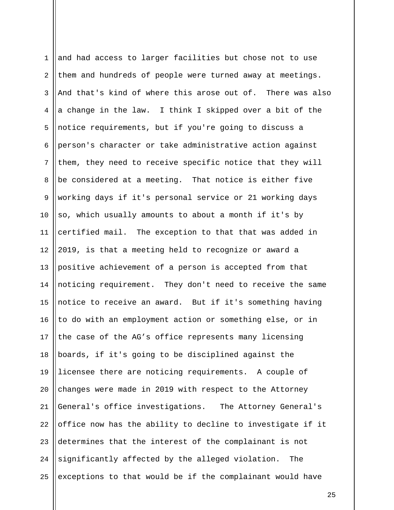| $\mathbf{1}$   | and had access to larger facilities but chose not to use   |
|----------------|------------------------------------------------------------|
| 2              | them and hundreds of people were turned away at meetings.  |
| 3              | And that's kind of where this arose out of. There was also |
| 4              | a change in the law. I think I skipped over a bit of the   |
| 5              | notice requirements, but if you're going to discuss a      |
| 6              | person's character or take administrative action against   |
| $7\phantom{.}$ | them, they need to receive specific notice that they will  |
| 8              | be considered at a meeting. That notice is either five     |
| $\overline{9}$ | working days if it's personal service or 21 working days   |
| 10             | so, which usually amounts to about a month if it's by      |
| 11             | certified mail. The exception to that that was added in    |
| 12             | 2019, is that a meeting held to recognize or award a       |
| 13             | positive achievement of a person is accepted from that     |
| 14             | noticing requirement. They don't need to receive the same  |
| 15             | notice to receive an award. But if it's something having   |
| 16             | to do with an employment action or something else, or in   |
| 17             | the case of the AG's office represents many licensing      |
| 18             | boards, if it's going to be disciplined against the        |
| 19             | licensee there are noticing requirements. A couple of      |
| 20             | changes were made in 2019 with respect to the Attorney     |
| 21             | General's office investigations. The Attorney General's    |
| 22             | office now has the ability to decline to investigate if it |
| 23             | determines that the interest of the complainant is not     |
| 24             | significantly affected by the alleged violation.<br>The    |
| 25             | exceptions to that would be if the complainant would have  |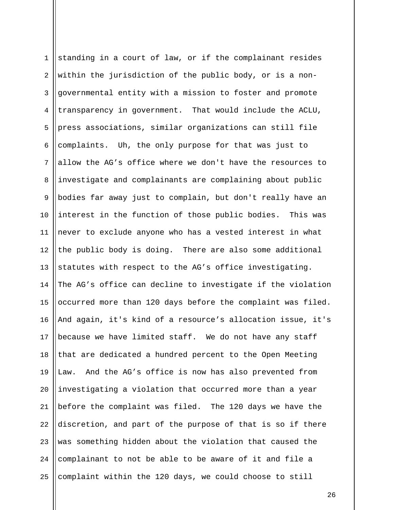1 2 3 4 5 6 7 8 9 10 11 12 13 14 15 16 17 18 19 20 21 22 23 24 25 standing in a court of law, or if the complainant resides within the jurisdiction of the public body, or is a nongovernmental entity with a mission to foster and promote transparency in government. That would include the ACLU, press associations, similar organizations can still file complaints. Uh, the only purpose for that was just to allow the AG's office where we don't have the resources to investigate and complainants are complaining about public bodies far away just to complain, but don't really have an interest in the function of those public bodies. This was never to exclude anyone who has a vested interest in what the public body is doing. There are also some additional statutes with respect to the AG's office investigating. The AG's office can decline to investigate if the violation occurred more than 120 days before the complaint was filed. And again, it's kind of a resource's allocation issue, it's because we have limited staff. We do not have any staff that are dedicated a hundred percent to the Open Meeting Law. And the AG's office is now has also prevented from investigating a violation that occurred more than a year before the complaint was filed. The 120 days we have the discretion, and part of the purpose of that is so if there was something hidden about the violation that caused the complainant to not be able to be aware of it and file a complaint within the 120 days, we could choose to still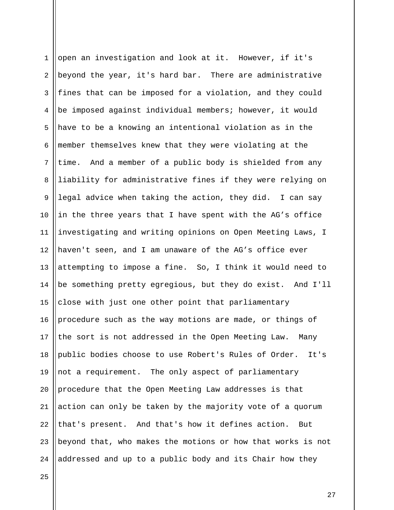1 2 3 4 5 6 7 8 9 10 11 12 13 14 15 16 17 18 19 20 21 22 23 24 open an investigation and look at it. However, if it's beyond the year, it's hard bar. There are administrative fines that can be imposed for a violation, and they could be imposed against individual members; however, it would have to be a knowing an intentional violation as in the member themselves knew that they were violating at the time. And a member of a public body is shielded from any liability for administrative fines if they were relying on legal advice when taking the action, they did. I can say in the three years that I have spent with the AG's office investigating and writing opinions on Open Meeting Laws, I haven't seen, and I am unaware of the AG's office ever attempting to impose a fine. So, I think it would need to be something pretty egregious, but they do exist. And I'll close with just one other point that parliamentary procedure such as the way motions are made, or things of the sort is not addressed in the Open Meeting Law. Many public bodies choose to use Robert's Rules of Order. It's not a requirement. The only aspect of parliamentary procedure that the Open Meeting Law addresses is that action can only be taken by the majority vote of a quorum that's present. And that's how it defines action. But beyond that, who makes the motions or how that works is not addressed and up to a public body and its Chair how they

25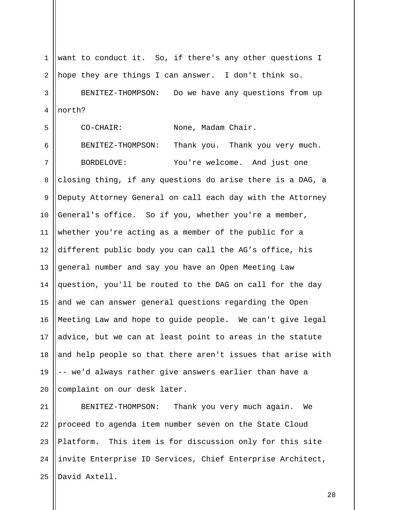1 2 3 4 5 6 7 8 9 10 11 12 13 14 15 16 17 18 19 20 21 want to conduct it. So, if there's any other questions I hope they are things I can answer. I don't think so. BENITEZ-THOMPSON: Do we have any questions from up north? CO-CHAIR: None, Madam Chair. BENITEZ-THOMPSON: Thank you. Thank you very much. BORDELOVE: You're welcome. And just one closing thing, if any questions do arise there is a DAG, a Deputy Attorney General on call each day with the Attorney General's office. So if you, whether you're a member, whether you're acting as a member of the public for a different public body you can call the AG's office, his general number and say you have an Open Meeting Law question, you'll be routed to the DAG on call for the day and we can answer general questions regarding the Open Meeting Law and hope to guide people. We can't give legal advice, but we can at least point to areas in the statute and help people so that there aren't issues that arise with -- we'd always rather give answers earlier than have a complaint on our desk later. BENITEZ-THOMPSON: Thank you very much again. We

22 23 24 25 proceed to agenda item number seven on the State Cloud Platform. This item is for discussion only for this site invite Enterprise ID Services, Chief Enterprise Architect, David Axtell.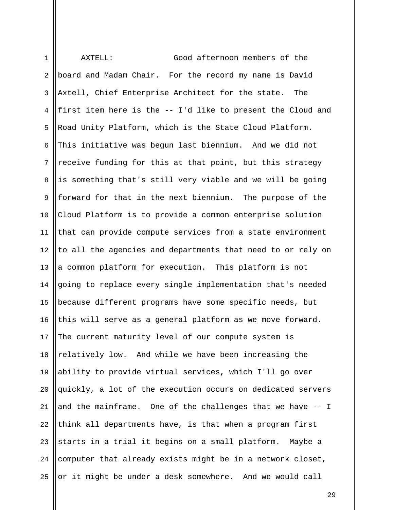| $\mathbf{1}$   | AXTELL:<br>Good afternoon members of the                    |
|----------------|-------------------------------------------------------------|
| 2              | board and Madam Chair. For the record my name is David      |
| $\mathbf{3}$   | Axtell, Chief Enterprise Architect for the state.<br>The    |
| 4              | first item here is the -- I'd like to present the Cloud and |
| 5              | Road Unity Platform, which is the State Cloud Platform.     |
| 6              | This initiative was begun last biennium. And we did not     |
| 7              | receive funding for this at that point, but this strategy   |
| 8              | is something that's still very viable and we will be going  |
| $\overline{9}$ | forward for that in the next biennium. The purpose of the   |
| 10             | Cloud Platform is to provide a common enterprise solution   |
| 11             | that can provide compute services from a state environment  |
| 12             | to all the agencies and departments that need to or rely on |
| 13             | a common platform for execution. This platform is not       |
| 14             | going to replace every single implementation that's needed  |
| 15             | because different programs have some specific needs, but    |
| 16             | this will serve as a general platform as we move forward.   |
| 17             | The current maturity level of our compute system is         |
| 18             | relatively low. And while we have been increasing the       |
| 19             | ability to provide virtual services, which I'll go over     |
| 20             | quickly, a lot of the execution occurs on dedicated servers |
| 21             | and the mainframe. One of the challenges that we have -- I  |
| 22             | think all departments have, is that when a program first    |
| 23             | starts in a trial it begins on a small platform. Maybe a    |
| 24             | computer that already exists might be in a network closet,  |
| 25             | or it might be under a desk somewhere. And we would call    |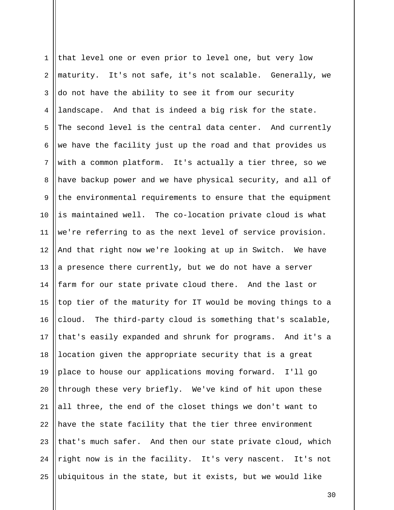1 2 3 4 5 6 7 8 9 10 11 12 13 14 15 16 17 18 19 20 21 22 23 24 25 that level one or even prior to level one, but very low maturity. It's not safe, it's not scalable. Generally, we do not have the ability to see it from our security landscape. And that is indeed a big risk for the state. The second level is the central data center. And currently we have the facility just up the road and that provides us with a common platform. It's actually a tier three, so we have backup power and we have physical security, and all of the environmental requirements to ensure that the equipment is maintained well. The co-location private cloud is what we're referring to as the next level of service provision. And that right now we're looking at up in Switch. We have a presence there currently, but we do not have a server farm for our state private cloud there. And the last or top tier of the maturity for IT would be moving things to a cloud. The third-party cloud is something that's scalable, that's easily expanded and shrunk for programs. And it's a location given the appropriate security that is a great place to house our applications moving forward. I'll go through these very briefly. We've kind of hit upon these all three, the end of the closet things we don't want to have the state facility that the tier three environment that's much safer. And then our state private cloud, which right now is in the facility. It's very nascent. It's not ubiquitous in the state, but it exists, but we would like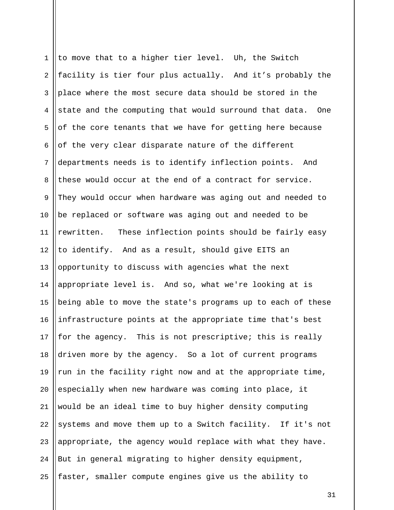1 2 3 4 5 6 7 8 9 10 11 12 13 14 15 16 17 18 19 20 21 22 23 24 25 to move that to a higher tier level. Uh, the Switch facility is tier four plus actually. And it's probably the place where the most secure data should be stored in the state and the computing that would surround that data. One of the core tenants that we have for getting here because of the very clear disparate nature of the different departments needs is to identify inflection points. And these would occur at the end of a contract for service. They would occur when hardware was aging out and needed to be replaced or software was aging out and needed to be rewritten. These inflection points should be fairly easy to identify. And as a result, should give EITS an opportunity to discuss with agencies what the next appropriate level is. And so, what we're looking at is being able to move the state's programs up to each of these infrastructure points at the appropriate time that's best for the agency. This is not prescriptive; this is really driven more by the agency. So a lot of current programs run in the facility right now and at the appropriate time, especially when new hardware was coming into place, it would be an ideal time to buy higher density computing systems and move them up to a Switch facility. If it's not appropriate, the agency would replace with what they have. But in general migrating to higher density equipment, faster, smaller compute engines give us the ability to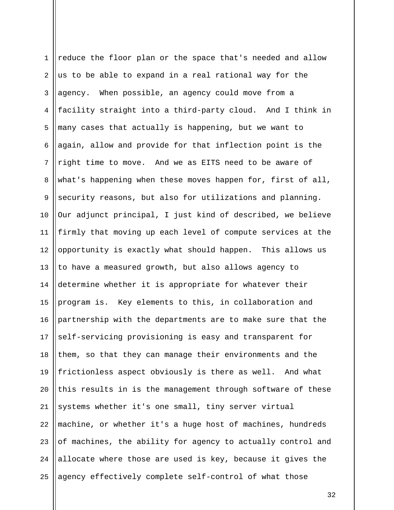1 2 3 4 5 6 7 8 9 10 11 12 13 14 15 16 17 18 19 20 21 22 23 24 25 reduce the floor plan or the space that's needed and allow us to be able to expand in a real rational way for the agency. When possible, an agency could move from a facility straight into a third-party cloud. And I think in many cases that actually is happening, but we want to again, allow and provide for that inflection point is the right time to move. And we as EITS need to be aware of what's happening when these moves happen for, first of all, security reasons, but also for utilizations and planning. Our adjunct principal, I just kind of described, we believe firmly that moving up each level of compute services at the opportunity is exactly what should happen. This allows us to have a measured growth, but also allows agency to determine whether it is appropriate for whatever their program is. Key elements to this, in collaboration and partnership with the departments are to make sure that the self-servicing provisioning is easy and transparent for them, so that they can manage their environments and the frictionless aspect obviously is there as well. And what this results in is the management through software of these systems whether it's one small, tiny server virtual machine, or whether it's a huge host of machines, hundreds of machines, the ability for agency to actually control and allocate where those are used is key, because it gives the agency effectively complete self-control of what those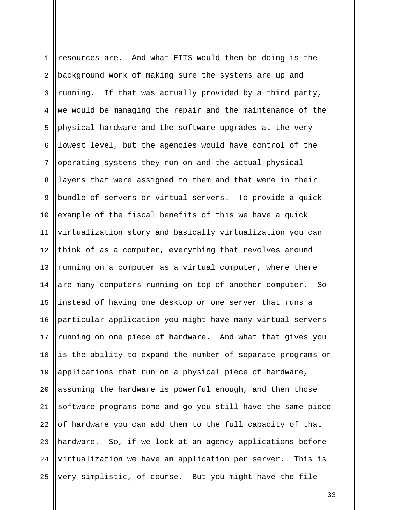1 2 3 4 5 6 7 8 9 10 11 12 13 14 15 16 17 18 19 20 21 22 23 24 25 resources are. And what EITS would then be doing is the background work of making sure the systems are up and running. If that was actually provided by a third party, we would be managing the repair and the maintenance of the physical hardware and the software upgrades at the very lowest level, but the agencies would have control of the operating systems they run on and the actual physical layers that were assigned to them and that were in their bundle of servers or virtual servers. To provide a quick example of the fiscal benefits of this we have a quick virtualization story and basically virtualization you can think of as a computer, everything that revolves around running on a computer as a virtual computer, where there are many computers running on top of another computer. So instead of having one desktop or one server that runs a particular application you might have many virtual servers running on one piece of hardware. And what that gives you is the ability to expand the number of separate programs or applications that run on a physical piece of hardware, assuming the hardware is powerful enough, and then those software programs come and go you still have the same piece of hardware you can add them to the full capacity of that hardware. So, if we look at an agency applications before virtualization we have an application per server. This is very simplistic, of course. But you might have the file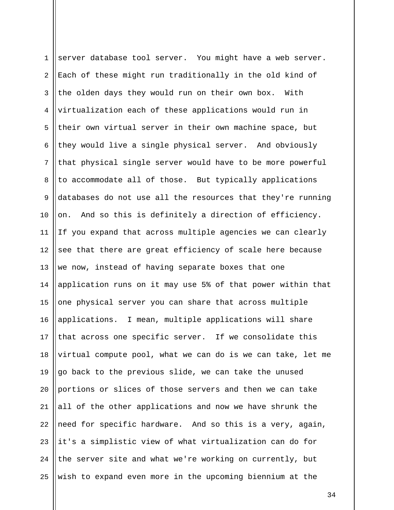1 2 3 4 5 6 7 8 9 10 11 12 13 14 15 16 17 18 19 20 21 22 23 24 25 server database tool server. You might have a web server. Each of these might run traditionally in the old kind of the olden days they would run on their own box. With virtualization each of these applications would run in their own virtual server in their own machine space, but they would live a single physical server. And obviously that physical single server would have to be more powerful to accommodate all of those. But typically applications databases do not use all the resources that they're running on. And so this is definitely a direction of efficiency. If you expand that across multiple agencies we can clearly see that there are great efficiency of scale here because we now, instead of having separate boxes that one application runs on it may use 5% of that power within that one physical server you can share that across multiple applications. I mean, multiple applications will share that across one specific server. If we consolidate this virtual compute pool, what we can do is we can take, let me go back to the previous slide, we can take the unused portions or slices of those servers and then we can take all of the other applications and now we have shrunk the need for specific hardware. And so this is a very, again, it's a simplistic view of what virtualization can do for the server site and what we're working on currently, but wish to expand even more in the upcoming biennium at the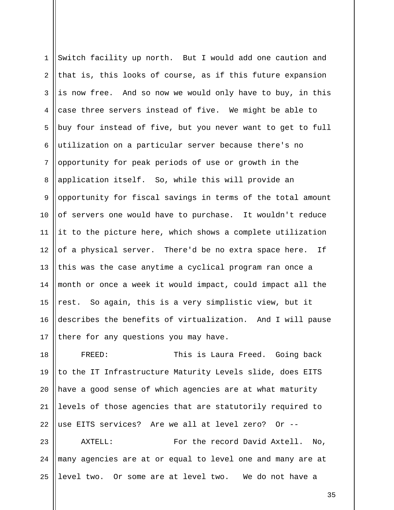1 2 3 4 5 6 7 8 9 10 11 12 13 14 15 16 17 Switch facility up north. But I would add one caution and that is, this looks of course, as if this future expansion is now free. And so now we would only have to buy, in this case three servers instead of five. We might be able to buy four instead of five, but you never want to get to full utilization on a particular server because there's no opportunity for peak periods of use or growth in the application itself. So, while this will provide an opportunity for fiscal savings in terms of the total amount of servers one would have to purchase. It wouldn't reduce it to the picture here, which shows a complete utilization of a physical server. There'd be no extra space here. If this was the case anytime a cyclical program ran once a month or once a week it would impact, could impact all the rest. So again, this is a very simplistic view, but it describes the benefits of virtualization. And I will pause there for any questions you may have.

18 19 20 21 22 FREED: This is Laura Freed. Going back to the IT Infrastructure Maturity Levels slide, does EITS have a good sense of which agencies are at what maturity levels of those agencies that are statutorily required to use EITS services? Are we all at level zero? Or --

23 24 25 AXTELL: For the record David Axtell. No, many agencies are at or equal to level one and many are at level two. Or some are at level two. We do not have a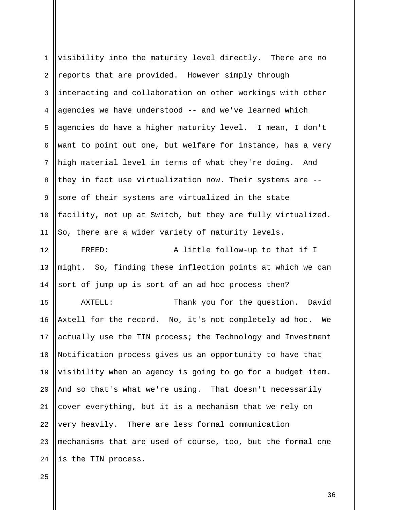| $\mathbf{1}$ | visibility into the maturity level directly. There are no   |
|--------------|-------------------------------------------------------------|
| 2            | reports that are provided. However simply through           |
| $\mathsf{3}$ | interacting and collaboration on other workings with other  |
| 4            | agencies we have understood -- and we've learned which      |
| 5            | agencies do have a higher maturity level. I mean, I don't   |
| 6            | want to point out one, but welfare for instance, has a very |
| 7            | high material level in terms of what they're doing. And     |
| 8            | they in fact use virtualization now. Their systems are --   |
| 9            | some of their systems are virtualized in the state          |
| 10           | facility, not up at Switch, but they are fully virtualized. |
| 11           | So, there are a wider variety of maturity levels.           |
| 12           | A little follow-up to that if I<br>FREED:                   |
| 13           | might. So, finding these inflection points at which we can  |
| 14           | sort of jump up is sort of an ad hoc process then?          |
| 15           | AXTELL:<br>Thank you for the question. David                |
| 16           | Axtell for the record. No, it's not completely ad hoc. We   |
| 17           | actually use the TIN process; the Technology and Investment |
| 18           | Notification process gives us an opportunity to have that   |
| 19           | visibility when an agency is going to go for a budget item. |
| 20           |                                                             |
|              | And so that's what we're using. That doesn't necessarily    |
| 21           | cover everything, but it is a mechanism that we rely on     |
| 22           | very heavily. There are less formal communication           |
| 23           | mechanisms that are used of course, too, but the formal one |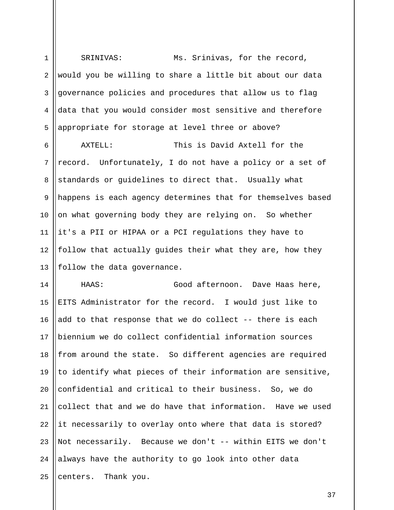1 2 3 4 5 6 7 8 9 10 11 12 13 SRINIVAS: Ms. Srinivas, for the record, would you be willing to share a little bit about our data governance policies and procedures that allow us to flag data that you would consider most sensitive and therefore appropriate for storage at level three or above? AXTELL: This is David Axtell for the record. Unfortunately, I do not have a policy or a set of standards or guidelines to direct that. Usually what happens is each agency determines that for themselves based on what governing body they are relying on. So whether it's a PII or HIPAA or a PCI regulations they have to follow that actually guides their what they are, how they follow the data governance.

14 15 16 17 18 19 20 21 22 23 24 25 HAAS: Good afternoon. Dave Haas here, EITS Administrator for the record. I would just like to add to that response that we do collect -- there is each biennium we do collect confidential information sources from around the state. So different agencies are required to identify what pieces of their information are sensitive, confidential and critical to their business. So, we do collect that and we do have that information. Have we used it necessarily to overlay onto where that data is stored? Not necessarily. Because we don't -- within EITS we don't always have the authority to go look into other data centers. Thank you.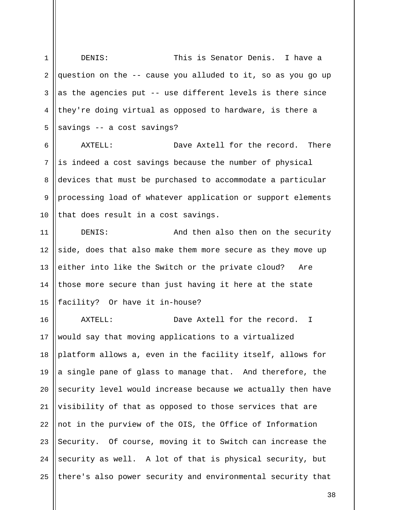1 2 3 4 5 DENIS: This is Senator Denis. I have a question on the -- cause you alluded to it, so as you go up as the agencies put -- use different levels is there since they're doing virtual as opposed to hardware, is there a savings -- a cost savings?

6 7 8 9 10 AXTELL: Dave Axtell for the record. There is indeed a cost savings because the number of physical devices that must be purchased to accommodate a particular processing load of whatever application or support elements that does result in a cost savings.

11 12 13 14 15 DENIS: And then also then on the security side, does that also make them more secure as they move up either into like the Switch or the private cloud? Are those more secure than just having it here at the state facility? Or have it in-house?

16 17 18 19 20 21 22 23 24 25 AXTELL: Dave Axtell for the record. I would say that moving applications to a virtualized platform allows a, even in the facility itself, allows for a single pane of glass to manage that. And therefore, the security level would increase because we actually then have visibility of that as opposed to those services that are not in the purview of the OIS, the Office of Information Security. Of course, moving it to Switch can increase the security as well. A lot of that is physical security, but there's also power security and environmental security that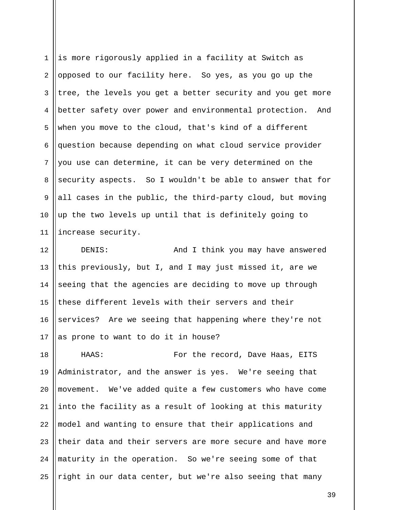1 2 3 4 5 6 7 8 9 10 11 is more rigorously applied in a facility at Switch as opposed to our facility here. So yes, as you go up the tree, the levels you get a better security and you get more better safety over power and environmental protection. And when you move to the cloud, that's kind of a different question because depending on what cloud service provider you use can determine, it can be very determined on the security aspects. So I wouldn't be able to answer that for all cases in the public, the third-party cloud, but moving up the two levels up until that is definitely going to increase security.

12 13 14 15 16 17 DENIS: And I think you may have answered this previously, but I, and I may just missed it, are we seeing that the agencies are deciding to move up through these different levels with their servers and their services? Are we seeing that happening where they're not as prone to want to do it in house?

18 19 20 21 22 23 24 25 HAAS: For the record, Dave Haas, EITS Administrator, and the answer is yes. We're seeing that movement. We've added quite a few customers who have come into the facility as a result of looking at this maturity model and wanting to ensure that their applications and their data and their servers are more secure and have more maturity in the operation. So we're seeing some of that right in our data center, but we're also seeing that many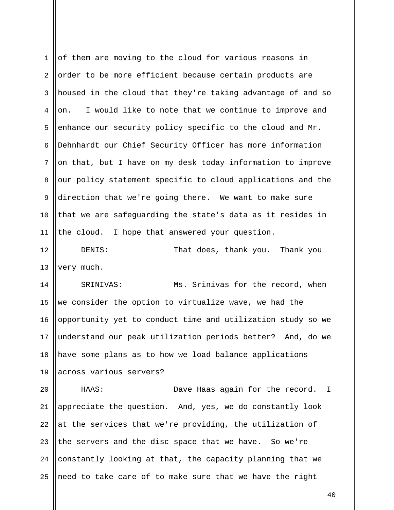1 2 3 4 5 6 7 8 9 10 11 of them are moving to the cloud for various reasons in order to be more efficient because certain products are housed in the cloud that they're taking advantage of and so on. I would like to note that we continue to improve and enhance our security policy specific to the cloud and Mr. Dehnhardt our Chief Security Officer has more information on that, but I have on my desk today information to improve our policy statement specific to cloud applications and the direction that we're going there. We want to make sure that we are safeguarding the state's data as it resides in the cloud. I hope that answered your question.

12 13 DENIS: That does, thank you. Thank you very much.

14 15 16 17 18 19 SRINIVAS: Ms. Srinivas for the record, when we consider the option to virtualize wave, we had the opportunity yet to conduct time and utilization study so we understand our peak utilization periods better? And, do we have some plans as to how we load balance applications across various servers?

20 21 22 23 24 25 HAAS: Dave Haas again for the record. I appreciate the question. And, yes, we do constantly look at the services that we're providing, the utilization of the servers and the disc space that we have. So we're constantly looking at that, the capacity planning that we need to take care of to make sure that we have the right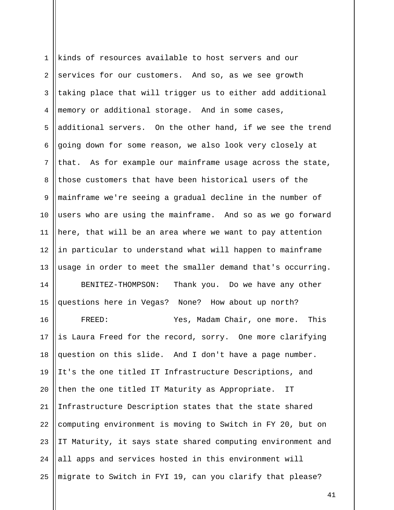1 2 3 4 5 6 7 8 9 10 11 12 13 14 15 16 17 18 19 20 21 22 23 24 25 kinds of resources available to host servers and our services for our customers. And so, as we see growth taking place that will trigger us to either add additional memory or additional storage. And in some cases, additional servers. On the other hand, if we see the trend going down for some reason, we also look very closely at that. As for example our mainframe usage across the state, those customers that have been historical users of the mainframe we're seeing a gradual decline in the number of users who are using the mainframe. And so as we go forward here, that will be an area where we want to pay attention in particular to understand what will happen to mainframe usage in order to meet the smaller demand that's occurring. BENITEZ-THOMPSON: Thank you. Do we have any other questions here in Vegas? None? How about up north? FREED: Yes, Madam Chair, one more. This is Laura Freed for the record, sorry. One more clarifying question on this slide. And I don't have a page number. It's the one titled IT Infrastructure Descriptions, and then the one titled IT Maturity as Appropriate. IT Infrastructure Description states that the state shared computing environment is moving to Switch in FY 20, but on IT Maturity, it says state shared computing environment and all apps and services hosted in this environment will migrate to Switch in FYI 19, can you clarify that please?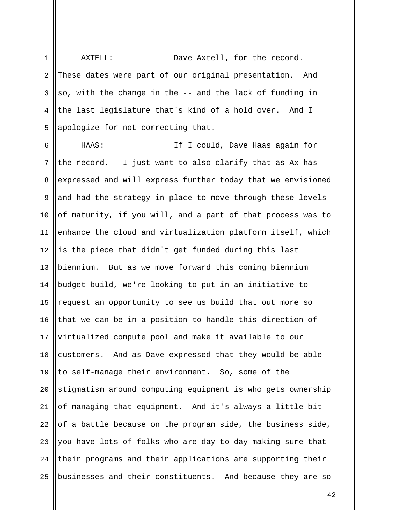1 2 3 4 5 AXTELL: Dave Axtell, for the record. These dates were part of our original presentation. And so, with the change in the -- and the lack of funding in the last legislature that's kind of a hold over. And I apologize for not correcting that.

6 7 8 9 10 11 12 13 14 15 16 17 18 19 20 21 22 23 24 25 HAAS: If I could, Dave Haas again for the record. I just want to also clarify that as Ax has expressed and will express further today that we envisioned and had the strategy in place to move through these levels of maturity, if you will, and a part of that process was to enhance the cloud and virtualization platform itself, which is the piece that didn't get funded during this last biennium. But as we move forward this coming biennium budget build, we're looking to put in an initiative to request an opportunity to see us build that out more so that we can be in a position to handle this direction of virtualized compute pool and make it available to our customers. And as Dave expressed that they would be able to self-manage their environment. So, some of the stigmatism around computing equipment is who gets ownership of managing that equipment. And it's always a little bit of a battle because on the program side, the business side, you have lots of folks who are day-to-day making sure that their programs and their applications are supporting their businesses and their constituents. And because they are so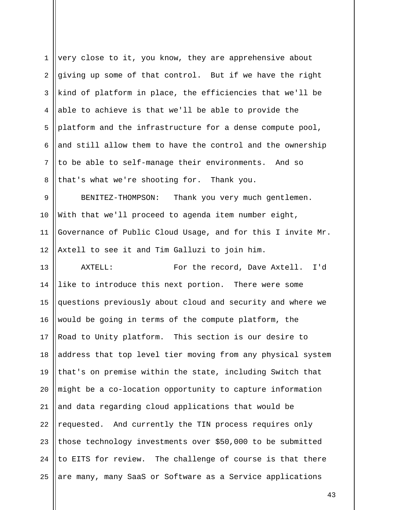1 2 3 4 5 6 7 8 9 10 11 12 13 14 15 16 17 18 19 20 21 22 23 24 25 very close to it, you know, they are apprehensive about giving up some of that control. But if we have the right kind of platform in place, the efficiencies that we'll be able to achieve is that we'll be able to provide the platform and the infrastructure for a dense compute pool, and still allow them to have the control and the ownership to be able to self-manage their environments. And so that's what we're shooting for. Thank you. BENITEZ-THOMPSON: Thank you very much gentlemen. With that we'll proceed to agenda item number eight, Governance of Public Cloud Usage, and for this I invite Mr. Axtell to see it and Tim Galluzi to join him. AXTELL: For the record, Dave Axtell. I'd like to introduce this next portion. There were some questions previously about cloud and security and where we would be going in terms of the compute platform, the Road to Unity platform. This section is our desire to address that top level tier moving from any physical system that's on premise within the state, including Switch that might be a co-location opportunity to capture information and data regarding cloud applications that would be requested. And currently the TIN process requires only those technology investments over \$50,000 to be submitted to EITS for review. The challenge of course is that there are many, many SaaS or Software as a Service applications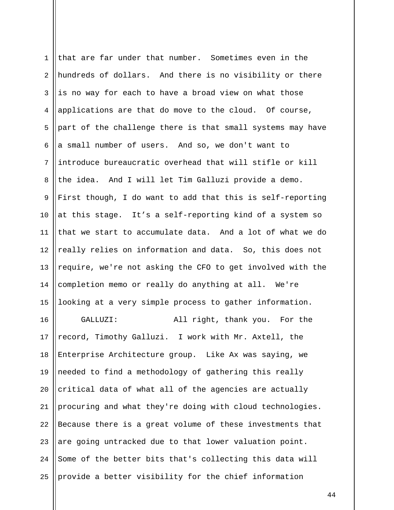| $\mathbf 1$    | that are far under that number. Sometimes even in the      |
|----------------|------------------------------------------------------------|
| $\overline{a}$ | hundreds of dollars. And there is no visibility or there   |
| 3              | is no way for each to have a broad view on what those      |
| 4              | applications are that do move to the cloud. Of course,     |
| 5              | part of the challenge there is that small systems may have |
| 6              | a small number of users. And so, we don't want to          |
| 7              | introduce bureaucratic overhead that will stifle or kill   |
| 8              | the idea. And I will let Tim Galluzi provide a demo.       |
| 9              | First though, I do want to add that this is self-reporting |
| 10             | at this stage. It's a self-reporting kind of a system so   |
| 11             | that we start to accumulate data. And a lot of what we do  |
| 12             | really relies on information and data. So, this does not   |
| 13             | require, we're not asking the CFO to get involved with the |
| 14             | completion memo or really do anything at all. We're        |
| 15             | looking at a very simple process to gather information.    |
| 16             | All right, thank you. For the<br>GALLUZI:                  |
| 17             | record, Timothy Galluzi. I work with Mr. Axtell, the       |
| 18             | Enterprise Architecture group. Like Ax was saying, we      |
| 19             | needed to find a methodology of gathering this really      |
| 20             | critical data of what all of the agencies are actually     |
| 21             | procuring and what they're doing with cloud technologies.  |
| 22             | Because there is a great volume of these investments that  |
| 23             | are going untracked due to that lower valuation point.     |
| 24             | Some of the better bits that's collecting this data will   |
| 25             | provide a better visibility for the chief information      |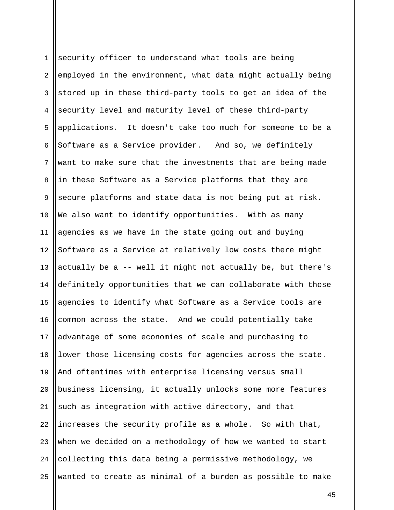1 2 3 4 5 6 7 8 9 10 11 12 13 14 15 16 17 18 19 20 21 22 23 24 25 security officer to understand what tools are being employed in the environment, what data might actually being stored up in these third-party tools to get an idea of the security level and maturity level of these third-party applications. It doesn't take too much for someone to be a Software as a Service provider. And so, we definitely want to make sure that the investments that are being made in these Software as a Service platforms that they are secure platforms and state data is not being put at risk. We also want to identify opportunities. With as many agencies as we have in the state going out and buying Software as a Service at relatively low costs there might actually be a -- well it might not actually be, but there's definitely opportunities that we can collaborate with those agencies to identify what Software as a Service tools are common across the state. And we could potentially take advantage of some economies of scale and purchasing to lower those licensing costs for agencies across the state. And oftentimes with enterprise licensing versus small business licensing, it actually unlocks some more features such as integration with active directory, and that increases the security profile as a whole. So with that, when we decided on a methodology of how we wanted to start collecting this data being a permissive methodology, we wanted to create as minimal of a burden as possible to make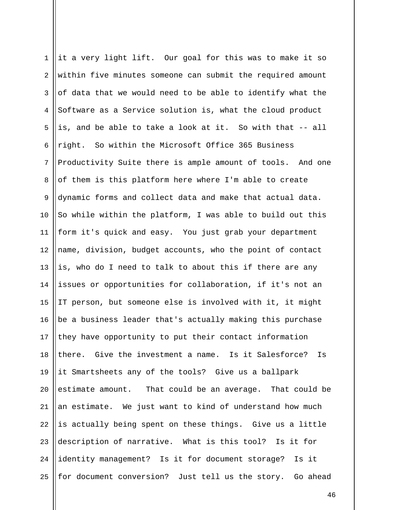| $\mathbf 1$    | it a very light lift. Our goal for this was to make it so  |
|----------------|------------------------------------------------------------|
| $\overline{a}$ | within five minutes someone can submit the required amount |
| 3              | of data that we would need to be able to identify what the |
| 4              | Software as a Service solution is, what the cloud product  |
| 5              | is, and be able to take a look at it. So with that -- all  |
| 6              | right. So within the Microsoft Office 365 Business         |
| $7\phantom{.}$ | Productivity Suite there is ample amount of tools. And one |
| 8              | of them is this platform here where I'm able to create     |
| 9              | dynamic forms and collect data and make that actual data.  |
| 10             | So while within the platform, I was able to build out this |
| 11             | form it's quick and easy. You just grab your department    |
| 12             | name, division, budget accounts, who the point of contact  |
| 13             | is, who do I need to talk to about this if there are any   |
| 14             | issues or opportunities for collaboration, if it's not an  |
| 15             | IT person, but someone else is involved with it, it might  |
| 16             | be a business leader that's actually making this purchase  |
| 17             | they have opportunity to put their contact information     |
| 18             | there. Give the investment a name. Is it Salesforce? Is    |
| 19             | it Smartsheets any of the tools? Give us a ballpark        |
| 20             | estimate amount. That could be an average. That could be   |
| 21             | an estimate. We just want to kind of understand how much   |
| 22             | is actually being spent on these things. Give us a little  |
| 23             | description of narrative. What is this tool? Is it for     |
| 24             | identity management? Is it for document storage? Is it     |
| 25             | for document conversion? Just tell us the story. Go ahead  |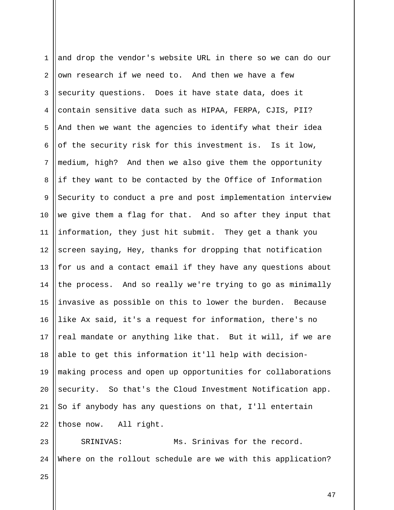| $\mathbf 1$    | and drop the vendor's website URL in there so we can do our |
|----------------|-------------------------------------------------------------|
| 2              | own research if we need to. And then we have a few          |
| $\mathbf{3}$   | security questions. Does it have state data, does it        |
| $\overline{4}$ | contain sensitive data such as HIPAA, FERPA, CJIS, PII?     |
| 5              | And then we want the agencies to identify what their idea   |
| 6              | of the security risk for this investment is. Is it low,     |
| 7              | medium, high? And then we also give them the opportunity    |
| 8              | if they want to be contacted by the Office of Information   |
| $\overline{9}$ | Security to conduct a pre and post implementation interview |
| 10             | we give them a flag for that. And so after they input that  |
| 11             | information, they just hit submit. They get a thank you     |
| 12             | screen saying, Hey, thanks for dropping that notification   |
| 13             | for us and a contact email if they have any questions about |
| 14             | the process. And so really we're trying to go as minimally  |
| 15             | invasive as possible on this to lower the burden. Because   |
| 16             | like Ax said, it's a request for information, there's no    |
| 17             | real mandate or anything like that. But it will, if we are  |
| 18             | able to get this information it'll help with decision-      |
| 19             | making process and open up opportunities for collaborations |
| 20             | security. So that's the Cloud Investment Notification app.  |
| 21             | So if anybody has any questions on that, I'll entertain     |
| 22             | those now. All right.                                       |
|                |                                                             |

23  $\parallel$ 24 Where on the rollout schedule are we with this application? SRINIVAS: Ms. Srinivas for the record.

25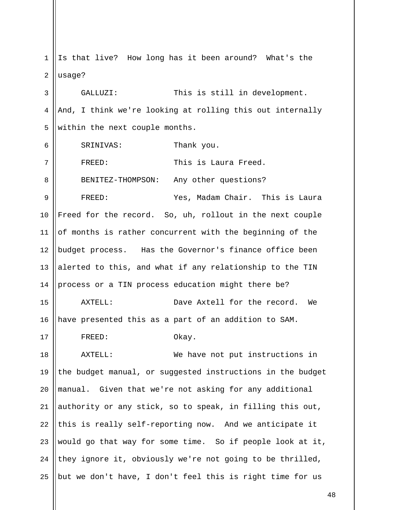1 2 Is that live? How long has it been around? What's the usage?

3 4 5 GALLUZI: This is still in development. And, I think we're looking at rolling this out internally within the next couple months.

6 7 8 9 10 11 12 13 14 15 16 17 SRINIVAS: Thank you. FREED: This is Laura Freed. BENITEZ-THOMPSON: Any other questions? FREED: Yes, Madam Chair. This is Laura Freed for the record. So, uh, rollout in the next couple of months is rather concurrent with the beginning of the budget process. Has the Governor's finance office been alerted to this, and what if any relationship to the TIN process or a TIN process education might there be? AXTELL: Dave Axtell for the record. We have presented this as a part of an addition to SAM. FREED: Okay.

18 19 20 21 22 23 24 25 AXTELL: We have not put instructions in the budget manual, or suggested instructions in the budget manual. Given that we're not asking for any additional authority or any stick, so to speak, in filling this out, this is really self-reporting now. And we anticipate it would go that way for some time. So if people look at it, they ignore it, obviously we're not going to be thrilled, but we don't have, I don't feel this is right time for us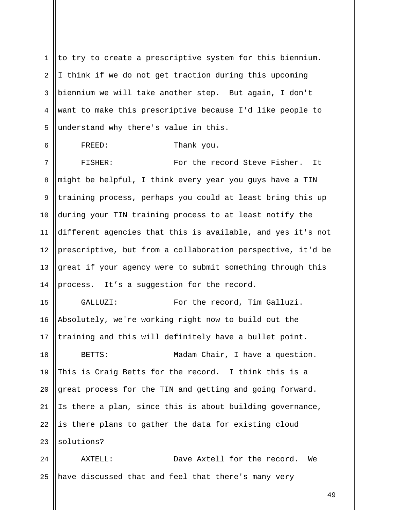1 2 3 4 5 to try to create a prescriptive system for this biennium. I think if we do not get traction during this upcoming biennium we will take another step. But again, I don't want to make this prescriptive because I'd like people to understand why there's value in this.

6 7 8 9 10 11 12 13 14 FREED: Thank you. FISHER: For the record Steve Fisher. It might be helpful, I think every year you guys have a TIN training process, perhaps you could at least bring this up during your TIN training process to at least notify the different agencies that this is available, and yes it's not prescriptive, but from a collaboration perspective, it'd be great if your agency were to submit something through this process. It's a suggestion for the record.

15 16 17 GALLUZI: For the record, Tim Galluzi. Absolutely, we're working right now to build out the training and this will definitely have a bullet point.

18 19 20 21 22 23 BETTS: Madam Chair, I have a question. This is Craig Betts for the record. I think this is a great process for the TIN and getting and going forward. Is there a plan, since this is about building governance, is there plans to gather the data for existing cloud solutions?

24 25 AXTELL: Dave Axtell for the record. We have discussed that and feel that there's many very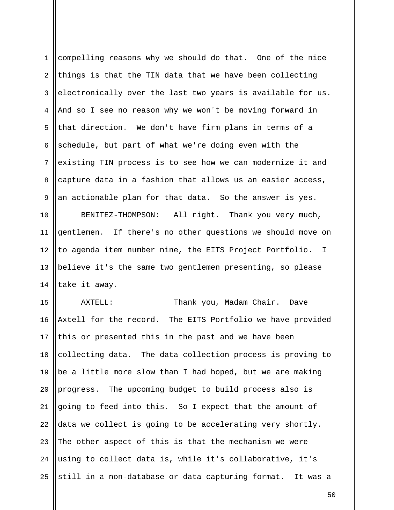1 2 3 4 5 6 7 8 9 compelling reasons why we should do that. One of the nice things is that the TIN data that we have been collecting electronically over the last two years is available for us. And so I see no reason why we won't be moving forward in that direction. We don't have firm plans in terms of a schedule, but part of what we're doing even with the existing TIN process is to see how we can modernize it and capture data in a fashion that allows us an easier access, an actionable plan for that data. So the answer is yes.

10 11 12 13 14 BENITEZ-THOMPSON: All right. Thank you very much, gentlemen. If there's no other questions we should move on to agenda item number nine, the EITS Project Portfolio. I believe it's the same two gentlemen presenting, so please take it away.

15 16 17 18 19 20 21 22 23 24 25 AXTELL: Thank you, Madam Chair. Dave Axtell for the record. The EITS Portfolio we have provided this or presented this in the past and we have been collecting data. The data collection process is proving to be a little more slow than I had hoped, but we are making progress. The upcoming budget to build process also is going to feed into this. So I expect that the amount of data we collect is going to be accelerating very shortly. The other aspect of this is that the mechanism we were using to collect data is, while it's collaborative, it's still in a non-database or data capturing format. It was a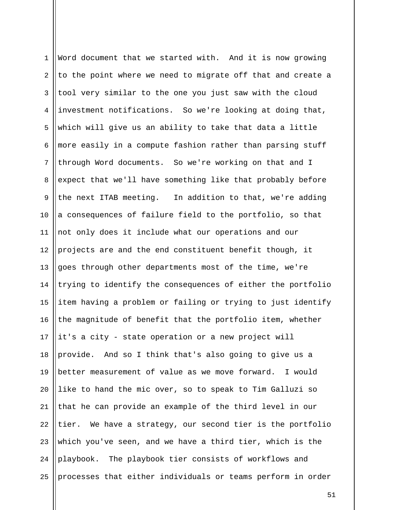| $\mathbf 1$    | Word document that we started with. And it is now growing   |
|----------------|-------------------------------------------------------------|
| 2              | to the point where we need to migrate off that and create a |
| 3              | tool very similar to the one you just saw with the cloud    |
| 4              | investment notifications. So we're looking at doing that,   |
| 5              | which will give us an ability to take that data a little    |
| 6              | more easily in a compute fashion rather than parsing stuff  |
| $7\phantom{.}$ | through Word documents. So we're working on that and I      |
| 8              | expect that we'll have something like that probably before  |
| $\mathsf 9$    | the next ITAB meeting. In addition to that, we're adding    |
| 10             | a consequences of failure field to the portfolio, so that   |
| 11             | not only does it include what our operations and our        |
| 12             | projects are and the end constituent benefit though, it     |
| 13             | goes through other departments most of the time, we're      |
| 14             | trying to identify the consequences of either the portfolio |
| 15             | item having a problem or failing or trying to just identify |
| 16             | the magnitude of benefit that the portfolio item, whether   |
| 17             | it's a city - state operation or a new project will         |
| 18             | provide. And so I think that's also going to give us a      |
| 19             | better measurement of value as we move forward. I would     |
| 20             | like to hand the mic over, so to speak to Tim Galluzi so    |
| 21             | that he can provide an example of the third level in our    |
| 22             | tier. We have a strategy, our second tier is the portfolio  |
| 23             | which you've seen, and we have a third tier, which is the   |
| 24             | playbook. The playbook tier consists of workflows and       |
| 25             | processes that either individuals or teams perform in order |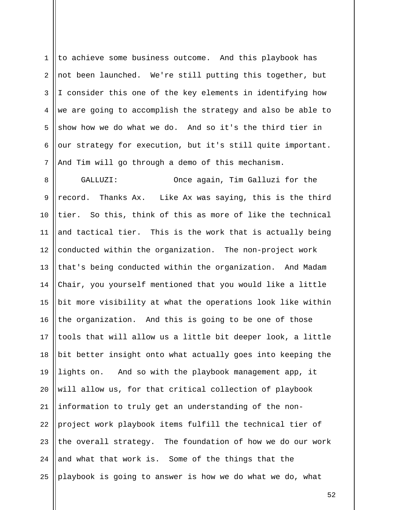1 2 3 4 5 6 7 to achieve some business outcome. And this playbook has not been launched. We're still putting this together, but I consider this one of the key elements in identifying how we are going to accomplish the strategy and also be able to show how we do what we do. And so it's the third tier in our strategy for execution, but it's still quite important. And Tim will go through a demo of this mechanism.

8 9 10 11 12 13 14 15 16 17 18 19 20 21 22 23 24 25 GALLUZI: Once again, Tim Galluzi for the record. Thanks Ax. Like Ax was saying, this is the third tier. So this, think of this as more of like the technical and tactical tier. This is the work that is actually being conducted within the organization. The non-project work that's being conducted within the organization. And Madam Chair, you yourself mentioned that you would like a little bit more visibility at what the operations look like within the organization. And this is going to be one of those tools that will allow us a little bit deeper look, a little bit better insight onto what actually goes into keeping the lights on. And so with the playbook management app, it will allow us, for that critical collection of playbook information to truly get an understanding of the nonproject work playbook items fulfill the technical tier of the overall strategy. The foundation of how we do our work and what that work is. Some of the things that the playbook is going to answer is how we do what we do, what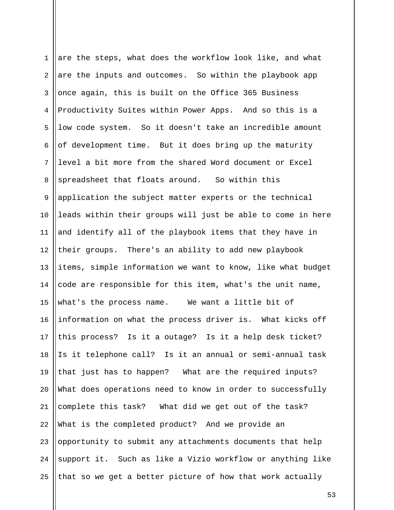1 2 3 4 5 6 7 8 9 10 11 12 13 14 15 16 17 18 19 20 21 22 23 24 25 are the steps, what does the workflow look like, and what are the inputs and outcomes. So within the playbook app once again, this is built on the Office 365 Business Productivity Suites within Power Apps. And so this is a low code system. So it doesn't take an incredible amount of development time. But it does bring up the maturity level a bit more from the shared Word document or Excel spreadsheet that floats around. So within this application the subject matter experts or the technical leads within their groups will just be able to come in here and identify all of the playbook items that they have in their groups. There's an ability to add new playbook items, simple information we want to know, like what budget code are responsible for this item, what's the unit name, what's the process name. We want a little bit of information on what the process driver is. What kicks off this process? Is it a outage? Is it a help desk ticket? Is it telephone call? Is it an annual or semi-annual task that just has to happen? What are the required inputs? What does operations need to know in order to successfully complete this task? What did we get out of the task? What is the completed product? And we provide an opportunity to submit any attachments documents that help support it. Such as like a Vizio workflow or anything like that so we get a better picture of how that work actually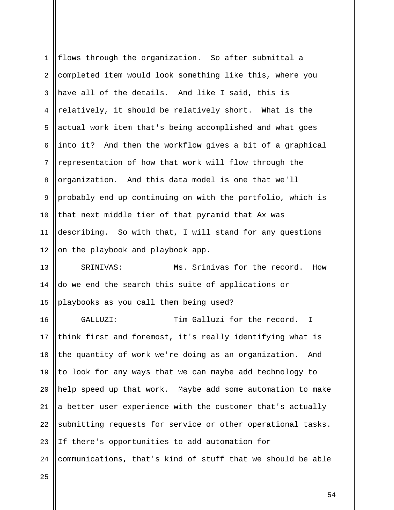| $\mathbf 1$ | flows through the organization. So after submittal a        |
|-------------|-------------------------------------------------------------|
| 2           | completed item would look something like this, where you    |
| 3           | have all of the details. And like I said, this is           |
| 4           | relatively, it should be relatively short. What is the      |
| 5           | actual work item that's being accomplished and what goes    |
| 6           | into it? And then the workflow gives a bit of a graphical   |
| 7           | representation of how that work will flow through the       |
| 8           | organization. And this data model is one that we'll         |
| 9           | probably end up continuing on with the portfolio, which is  |
| 10          | that next middle tier of that pyramid that Ax was           |
| 11          | describing. So with that, I will stand for any questions    |
| 12          | on the playbook and playbook app.                           |
| 13          | Ms. Srinivas for the record.<br>SRINIVAS:<br>How            |
| 14          | do we end the search this suite of applications or          |
| 15          | playbooks as you call them being used?                      |
| 16          | Tim Galluzi for the record. I<br>GALLUZI:                   |
| 17          | think first and foremost, it's really identifying what is   |
| 18          | the quantity of work we're doing as an organization.<br>And |
| 19          | to look for any ways that we can maybe add technology to    |
| 20          | help speed up that work. Maybe add some automation to make  |
| 21          | a better user experience with the customer that's actually  |
| 22          | submitting requests for service or other operational tasks. |
| 23          | If there's opportunities to add automation for              |
| 24          | communications, that's kind of stuff that we should be able |
|             |                                                             |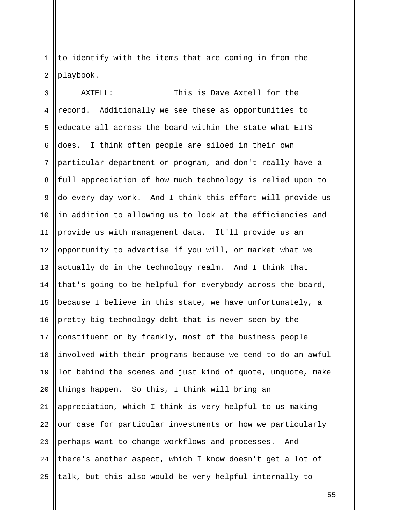1 2 to identify with the items that are coming in from the playbook.

3 4 5 6 7 8 9 10 11 12 13 14 15 16 17 18 19 20 21 22 23 24 25 AXTELL: This is Dave Axtell for the record. Additionally we see these as opportunities to educate all across the board within the state what EITS does. I think often people are siloed in their own particular department or program, and don't really have a full appreciation of how much technology is relied upon to do every day work. And I think this effort will provide us in addition to allowing us to look at the efficiencies and provide us with management data. It'll provide us an opportunity to advertise if you will, or market what we actually do in the technology realm. And I think that that's going to be helpful for everybody across the board, because I believe in this state, we have unfortunately, a pretty big technology debt that is never seen by the constituent or by frankly, most of the business people involved with their programs because we tend to do an awful lot behind the scenes and just kind of quote, unquote, make things happen. So this, I think will bring an appreciation, which I think is very helpful to us making our case for particular investments or how we particularly perhaps want to change workflows and processes. And there's another aspect, which I know doesn't get a lot of talk, but this also would be very helpful internally to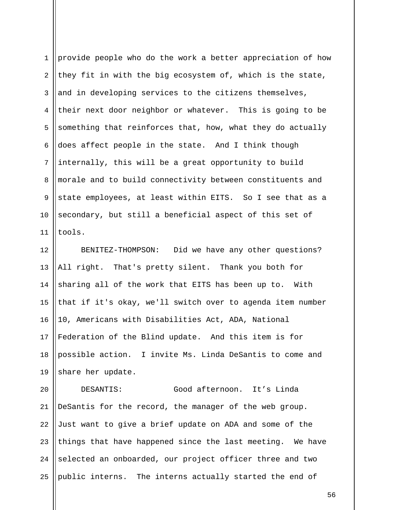1 2 3 4 5 6 7 8 9 10 11 provide people who do the work a better appreciation of how they fit in with the big ecosystem of, which is the state, and in developing services to the citizens themselves, their next door neighbor or whatever. This is going to be something that reinforces that, how, what they do actually does affect people in the state. And I think though internally, this will be a great opportunity to build morale and to build connectivity between constituents and state employees, at least within EITS. So I see that as a secondary, but still a beneficial aspect of this set of tools.

12 13 14 15 16 17 18 19 BENITEZ-THOMPSON: Did we have any other questions? All right. That's pretty silent. Thank you both for sharing all of the work that EITS has been up to. With that if it's okay, we'll switch over to agenda item number 10, Americans with Disabilities Act, ADA, National Federation of the Blind update. And this item is for possible action. I invite Ms. Linda DeSantis to come and share her update.

20 21 22 23 24 25 DESANTIS: Good afternoon. It's Linda DeSantis for the record, the manager of the web group. Just want to give a brief update on ADA and some of the things that have happened since the last meeting. We have selected an onboarded, our project officer three and two public interns. The interns actually started the end of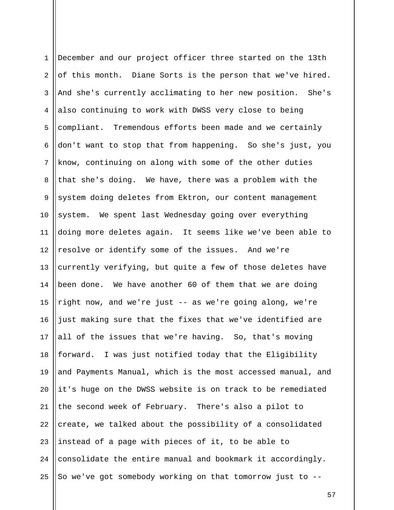| $\mathbf 1$    | December and our project officer three started on the 13th  |
|----------------|-------------------------------------------------------------|
| 2              | of this month. Diane Sorts is the person that we've hired.  |
| 3              | And she's currently acclimating to her new position. She's  |
| 4              | also continuing to work with DWSS very close to being       |
| 5              | compliant. Tremendous efforts been made and we certainly    |
| 6              | don't want to stop that from happening. So she's just, you  |
| $7\phantom{.}$ | know, continuing on along with some of the other duties     |
| 8              | that she's doing. We have, there was a problem with the     |
| $\mathsf 9$    | system doing deletes from Ektron, our content management    |
| 10             | system. We spent last Wednesday going over everything       |
| 11             | doing more deletes again. It seems like we've been able to  |
| 12             | resolve or identify some of the issues. And we're           |
| 13             | currently verifying, but quite a few of those deletes have  |
| 14             | been done. We have another 60 of them that we are doing     |
| 15             | right now, and we're just -- as we're going along, we're    |
| 16             | just making sure that the fixes that we've identified are   |
| 17             | all of the issues that we're having. So, that's moving      |
| 18             | forward. I was just notified today that the Eligibility     |
| 19             | and Payments Manual, which is the most accessed manual, and |
| 20             | it's huge on the DWSS website is on track to be remediated  |
| 21             | the second week of February. There's also a pilot to        |
| 22             | create, we talked about the possibility of a consolidated   |
| 23             | instead of a page with pieces of it, to be able to          |
| 24             | consolidate the entire manual and bookmark it accordingly.  |
| 25             | So we've got somebody working on that tomorrow just to --   |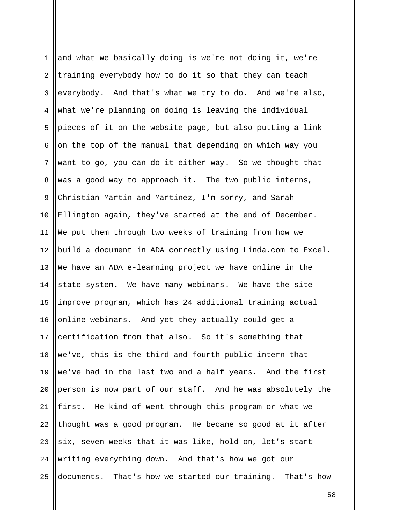| $\mathbf 1$ | and what we basically doing is we're not doing it, we're    |
|-------------|-------------------------------------------------------------|
| 2           | training everybody how to do it so that they can teach      |
| 3           | everybody. And that's what we try to do. And we're also,    |
| 4           | what we're planning on doing is leaving the individual      |
| 5           | pieces of it on the website page, but also putting a link   |
| 6           | on the top of the manual that depending on which way you    |
| 7           | want to go, you can do it either way. So we thought that    |
| 8           | was a good way to approach it. The two public interns,      |
| $\mathsf 9$ | Christian Martin and Martinez, I'm sorry, and Sarah         |
| 10          | Ellington again, they've started at the end of December.    |
| 11          | We put them through two weeks of training from how we       |
| 12          | build a document in ADA correctly using Linda.com to Excel. |
| 13          | We have an ADA e-learning project we have online in the     |
| 14          | state system. We have many webinars. We have the site       |
| 15          | improve program, which has 24 additional training actual    |
| 16          | online webinars. And yet they actually could get a          |
| 17          | certification from that also. So it's something that        |
| 18          | we've, this is the third and fourth public intern that      |
| 19          | we've had in the last two and a half years. And the first   |
| 20          | person is now part of our staff. And he was absolutely the  |
| 21          | first. He kind of went through this program or what we      |
| 22          | thought was a good program. He became so good at it after   |
| 23          | six, seven weeks that it was like, hold on, let's start     |
| 24          | writing everything down. And that's how we got our          |
| 25          | documents. That's how we started our training. That's how   |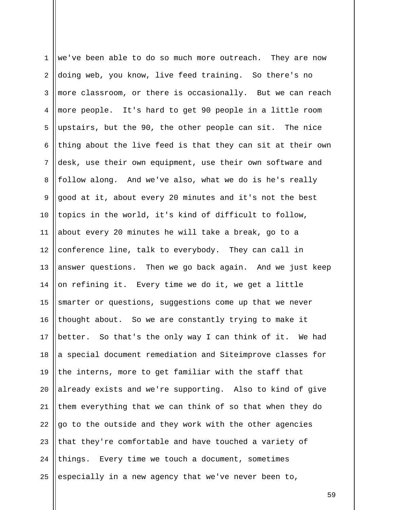1 2 3 4 5 6 7 8 9 10 11 12 13 14 15 16 17 18 19 20 21 22 23 24 25 we've been able to do so much more outreach. They are now doing web, you know, live feed training. So there's no more classroom, or there is occasionally. But we can reach more people. It's hard to get 90 people in a little room upstairs, but the 90, the other people can sit. The nice thing about the live feed is that they can sit at their own desk, use their own equipment, use their own software and follow along. And we've also, what we do is he's really good at it, about every 20 minutes and it's not the best topics in the world, it's kind of difficult to follow, about every 20 minutes he will take a break, go to a conference line, talk to everybody. They can call in answer questions. Then we go back again. And we just keep on refining it. Every time we do it, we get a little smarter or questions, suggestions come up that we never thought about. So we are constantly trying to make it better. So that's the only way I can think of it. We had a special document remediation and Siteimprove classes for the interns, more to get familiar with the staff that already exists and we're supporting. Also to kind of give them everything that we can think of so that when they do go to the outside and they work with the other agencies that they're comfortable and have touched a variety of things. Every time we touch a document, sometimes especially in a new agency that we've never been to,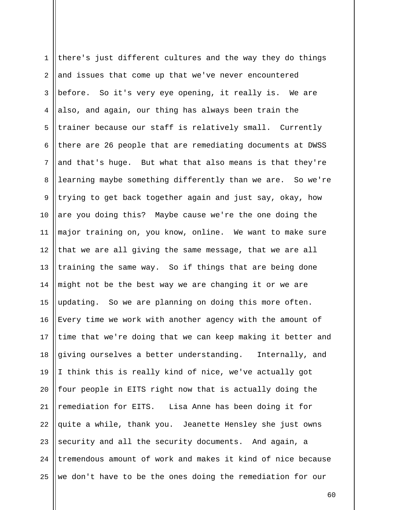1 2 3 4 5 6 7 8 9 10 11 12 13 14 15 16 17 18 19 20 21 22 23 24 25 there's just different cultures and the way they do things and issues that come up that we've never encountered before. So it's very eye opening, it really is. We are also, and again, our thing has always been train the trainer because our staff is relatively small. Currently there are 26 people that are remediating documents at DWSS and that's huge. But what that also means is that they're learning maybe something differently than we are. So we're trying to get back together again and just say, okay, how are you doing this? Maybe cause we're the one doing the major training on, you know, online. We want to make sure that we are all giving the same message, that we are all training the same way. So if things that are being done might not be the best way we are changing it or we are updating. So we are planning on doing this more often. Every time we work with another agency with the amount of time that we're doing that we can keep making it better and giving ourselves a better understanding. Internally, and I think this is really kind of nice, we've actually got four people in EITS right now that is actually doing the remediation for EITS. Lisa Anne has been doing it for quite a while, thank you. Jeanette Hensley she just owns security and all the security documents. And again, a tremendous amount of work and makes it kind of nice because we don't have to be the ones doing the remediation for our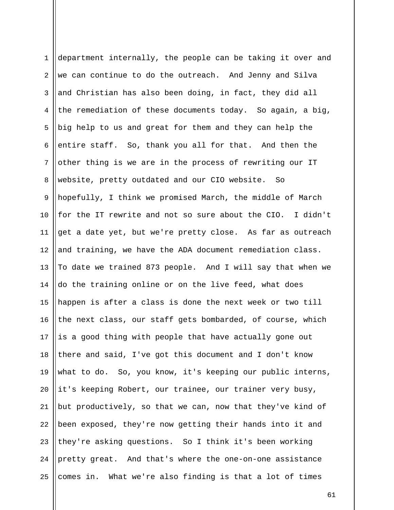| $\mathbf{1}$ | department internally, the people can be taking it over and |
|--------------|-------------------------------------------------------------|
| 2            | we can continue to do the outreach. And Jenny and Silva     |
| 3            | and Christian has also been doing, in fact, they did all    |
| 4            | the remediation of these documents today. So again, a big,  |
| 5            | big help to us and great for them and they can help the     |
| 6            | entire staff. So, thank you all for that. And then the      |
| 7            | other thing is we are in the process of rewriting our IT    |
| 8            | website, pretty outdated and our CIO website. So            |
| $\mathsf 9$  | hopefully, I think we promised March, the middle of March   |
| 10           | for the IT rewrite and not so sure about the CIO. I didn't  |
| 11           | get a date yet, but we're pretty close. As far as outreach  |
| 12           | and training, we have the ADA document remediation class.   |
| 13           | To date we trained 873 people. And I will say that when we  |
| 14           | do the training online or on the live feed, what does       |
| 15           | happen is after a class is done the next week or two till   |
| 16           | the next class, our staff gets bombarded, of course, which  |
| 17           | is a good thing with people that have actually gone out     |
| 18           | there and said, I've got this document and I don't know     |
| 19           | what to do. So, you know, it's keeping our public interns,  |
| 20           | it's keeping Robert, our trainee, our trainer very busy,    |
| 21           | but productively, so that we can, now that they've kind of  |
| 22           | been exposed, they're now getting their hands into it and   |
| 23           | they're asking questions. So I think it's been working      |
| 24           | pretty great. And that's where the one-on-one assistance    |
| 25           | comes in. What we're also finding is that a lot of times    |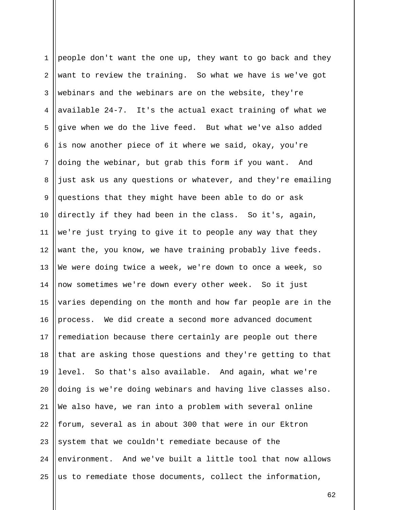1 2 3 4 5 6 7 8 9 10 11 12 13 14 15 16 17 18 19 20 21 22 23 24 25 people don't want the one up, they want to go back and they want to review the training. So what we have is we've got webinars and the webinars are on the website, they're available 24-7. It's the actual exact training of what we give when we do the live feed. But what we've also added is now another piece of it where we said, okay, you're doing the webinar, but grab this form if you want. And just ask us any questions or whatever, and they're emailing questions that they might have been able to do or ask directly if they had been in the class. So it's, again, we're just trying to give it to people any way that they want the, you know, we have training probably live feeds. We were doing twice a week, we're down to once a week, so now sometimes we're down every other week. So it just varies depending on the month and how far people are in the process. We did create a second more advanced document remediation because there certainly are people out there that are asking those questions and they're getting to that level. So that's also available. And again, what we're doing is we're doing webinars and having live classes also. We also have, we ran into a problem with several online forum, several as in about 300 that were in our Ektron system that we couldn't remediate because of the environment. And we've built a little tool that now allows us to remediate those documents, collect the information,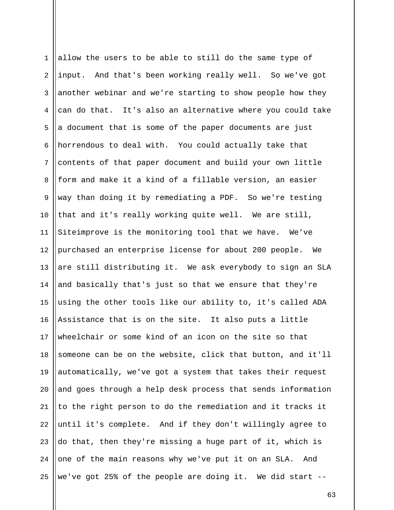1 2 3 4 5 6 7 8 9 10 11 12 13 14 15 16 17 18 19 20 21 22 23 24 25 allow the users to be able to still do the same type of input. And that's been working really well. So we've got another webinar and we're starting to show people how they can do that. It's also an alternative where you could take a document that is some of the paper documents are just horrendous to deal with. You could actually take that contents of that paper document and build your own little form and make it a kind of a fillable version, an easier way than doing it by remediating a PDF. So we're testing that and it's really working quite well. We are still, Siteimprove is the monitoring tool that we have. We've purchased an enterprise license for about 200 people. We are still distributing it. We ask everybody to sign an SLA and basically that's just so that we ensure that they're using the other tools like our ability to, it's called ADA Assistance that is on the site. It also puts a little wheelchair or some kind of an icon on the site so that someone can be on the website, click that button, and it'll automatically, we've got a system that takes their request and goes through a help desk process that sends information to the right person to do the remediation and it tracks it until it's complete. And if they don't willingly agree to do that, then they're missing a huge part of it, which is one of the main reasons why we've put it on an SLA. And we've got 25% of the people are doing it. We did start --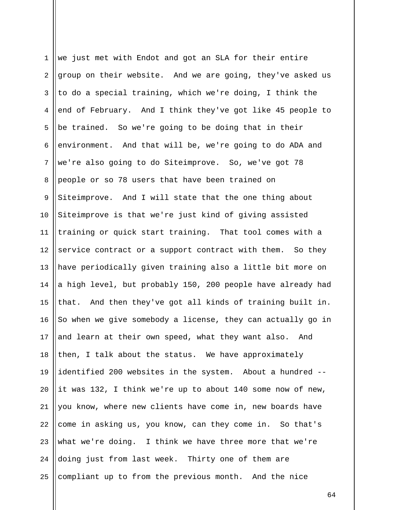| $\mathbf 1$    | we just met with Endot and got an SLA for their entire      |
|----------------|-------------------------------------------------------------|
| $\overline{2}$ | group on their website. And we are going, they've asked us  |
| 3              | to do a special training, which we're doing, I think the    |
| 4              | end of February. And I think they've got like 45 people to  |
| 5              | be trained. So we're going to be doing that in their        |
| 6              | environment. And that will be, we're going to do ADA and    |
| 7              | we're also going to do Siteimprove. So, we've got 78        |
| 8              | people or so 78 users that have been trained on             |
| 9              | Siteimprove. And I will state that the one thing about      |
| 10             | Siteimprove is that we're just kind of giving assisted      |
| 11             | training or quick start training. That tool comes with a    |
| 12             | service contract or a support contract with them. So they   |
| 13             | have periodically given training also a little bit more on  |
| 14             | a high level, but probably 150, 200 people have already had |
| 15             | that. And then they've got all kinds of training built in.  |
| 16             | So when we give somebody a license, they can actually go in |
| 17             | and learn at their own speed, what they want also.<br>And   |
| 18             | then, I talk about the status. We have approximately        |
| 19             | identified 200 websites in the system. About a hundred --   |
| 20             | it was 132, I think we're up to about 140 some now of new,  |
| 21             | you know, where new clients have come in, new boards have   |
| 22             | come in asking us, you know, can they come in. So that's    |
| 23             | what we're doing. I think we have three more that we're     |
| 24             | doing just from last week. Thirty one of them are           |
| 25             | compliant up to from the previous month. And the nice       |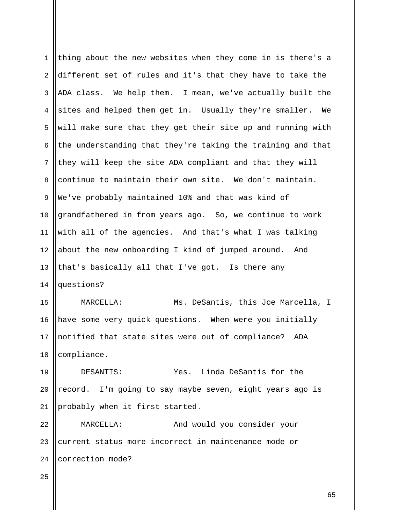| $\mathbf{1}$   | thing about the new websites when they come in is there's a |
|----------------|-------------------------------------------------------------|
| $\overline{a}$ | different set of rules and it's that they have to take the  |
| 3              | ADA class. We help them. I mean, we've actually built the   |
| $\overline{4}$ | sites and helped them get in. Usually they're smaller. We   |
| 5              | will make sure that they get their site up and running with |
| 6              | the understanding that they're taking the training and that |
| 7              | they will keep the site ADA compliant and that they will    |
| 8              | continue to maintain their own site. We don't maintain.     |
| 9              | We've probably maintained 10% and that was kind of          |
| 10             | grandfathered in from years ago. So, we continue to work    |
| 11             | with all of the agencies. And that's what I was talking     |
| 12             | about the new onboarding I kind of jumped around. And       |
| 13             | that's basically all that I've got. Is there any            |
| 14             | questions?                                                  |
| 15             | MARCELLA:<br>Ms. DeSantis, this Joe Marcella, I             |
| 16             | have some very quick questions. When were you initially     |
| 17             | notified that state sites were out of compliance?<br>ADA    |
| 18             | compliance.                                                 |
| 19             | Yes. Linda DeSantis for the<br>DESANTIS:                    |
| 20             | record. I'm going to say maybe seven, eight years ago is    |
| 21             | probably when it first started.                             |
| 22             | And would you consider your<br>MARCELLA:                    |
| 23             | current status more incorrect in maintenance mode or        |
| 24             | correction mode?                                            |
| 25             |                                                             |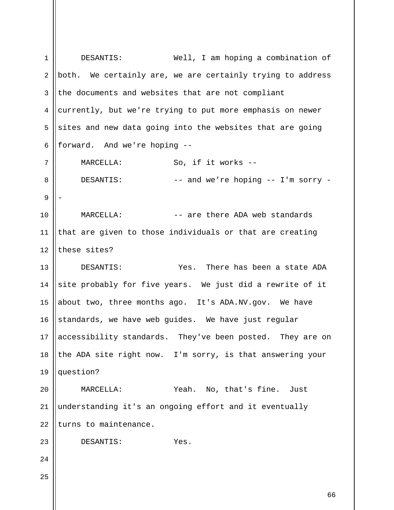1 2 3 4 5 6 7 8 9 10 11 12 13 14 15 16 17 18 19 20 21 22 23 24 25 DESANTIS: Well, I am hoping a combination of both. We certainly are, we are certainly trying to address the documents and websites that are not compliant currently, but we're trying to put more emphasis on newer sites and new data going into the websites that are going forward. And we're hoping -- MARCELLA: So, if it works -- DESANTIS: -- and we're hoping -- I'm sorry -- MARCELLA: -- are there ADA web standards that are given to those individuals or that are creating these sites? DESANTIS: Yes. There has been a state ADA site probably for five years. We just did a rewrite of it about two, three months ago. It's ADA.NV.gov. We have standards, we have web guides. We have just regular accessibility standards. They've been posted. They are on the ADA site right now. I'm sorry, is that answering your question? MARCELLA: Yeah. No, that's fine. Just understanding it's an ongoing effort and it eventually turns to maintenance. DESANTIS: Yes.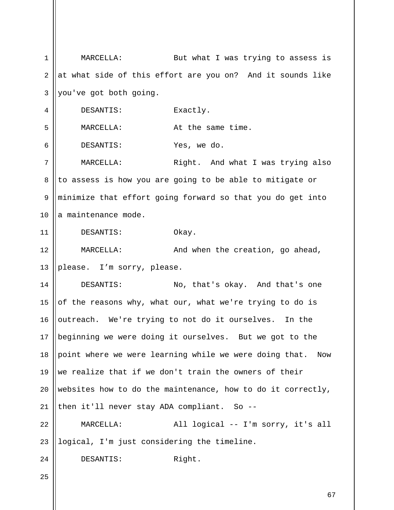1 2 3 4 5 6 7 8 9 10 11 12 13 14 15 16 17 18 19 20 21 22 23 24 25 MARCELLA: But what I was trying to assess is at what side of this effort are you on? And it sounds like you've got both going. DESANTIS: Exactly. MARCELLA: At the same time. DESANTIS: Yes, we do. MARCELLA: Right. And what I was trying also to assess is how you are going to be able to mitigate or minimize that effort going forward so that you do get into a maintenance mode. DESANTIS: Okay. MARCELLA: And when the creation, go ahead, please. I'm sorry, please. DESANTIS: No, that's okay. And that's one of the reasons why, what our, what we're trying to do is outreach. We're trying to not do it ourselves. In the beginning we were doing it ourselves. But we got to the point where we were learning while we were doing that. Now we realize that if we don't train the owners of their websites how to do the maintenance, how to do it correctly, then it'll never stay ADA compliant. So --MARCELLA: All logical -- I'm sorry, it's all logical, I'm just considering the timeline. DESANTIS: Right.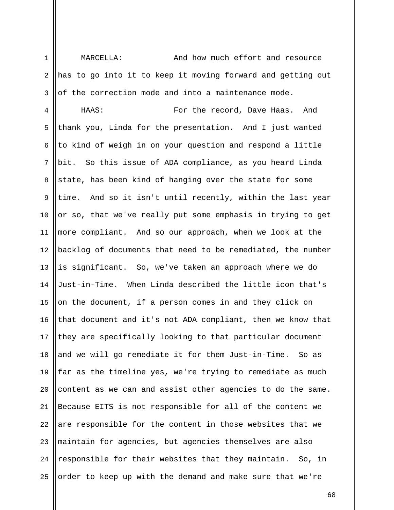1 2 3 MARCELLA: And how much effort and resource has to go into it to keep it moving forward and getting out of the correction mode and into a maintenance mode.

4 5 6 7 8 9 10 11 12 13 14 15 16 17 18 19 20 21 22 23 24 25 HAAS: For the record, Dave Haas. And thank you, Linda for the presentation. And I just wanted to kind of weigh in on your question and respond a little bit. So this issue of ADA compliance, as you heard Linda state, has been kind of hanging over the state for some time. And so it isn't until recently, within the last year or so, that we've really put some emphasis in trying to get more compliant. And so our approach, when we look at the backlog of documents that need to be remediated, the number is significant. So, we've taken an approach where we do Just-in-Time. When Linda described the little icon that's on the document, if a person comes in and they click on that document and it's not ADA compliant, then we know that they are specifically looking to that particular document and we will go remediate it for them Just-in-Time. So as far as the timeline yes, we're trying to remediate as much content as we can and assist other agencies to do the same. Because EITS is not responsible for all of the content we are responsible for the content in those websites that we maintain for agencies, but agencies themselves are also responsible for their websites that they maintain. So, in order to keep up with the demand and make sure that we're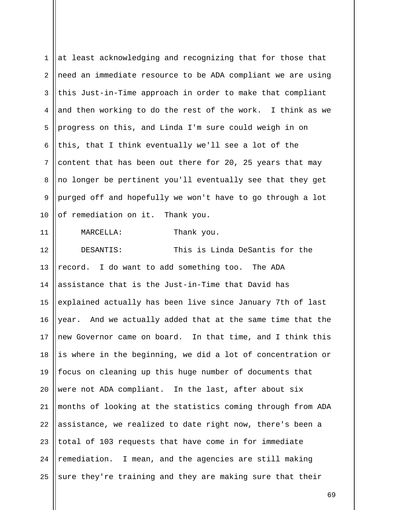| $\mathbf 1$ | at least acknowledging and recognizing that for those that  |
|-------------|-------------------------------------------------------------|
| 2           | need an immediate resource to be ADA compliant we are using |
| 3           | this Just-in-Time approach in order to make that compliant  |
| 4           | and then working to do the rest of the work. I think as we  |
| 5           | progress on this, and Linda I'm sure could weigh in on      |
| 6           | this, that I think eventually we'll see a lot of the        |
| 7           | content that has been out there for 20, 25 years that may   |
| 8           | no longer be pertinent you'll eventually see that they get  |
| $\mathsf 9$ | purged off and hopefully we won't have to go through a lot  |
| 10          | of remediation on it. Thank you.                            |
| 11          | Thank you.<br>MARCELLA:                                     |
| 12          | This is Linda DeSantis for the<br>DESANTIS:                 |
| 13          | record. I do want to add something too. The ADA             |
| 14          | assistance that is the Just-in-Time that David has          |
| 15          | explained actually has been live since January 7th of last  |
| 16          | year. And we actually added that at the same time that the  |
| 17          | new Governor came on board. In that time, and I think this  |
| 18          | is where in the beginning, we did a lot of concentration or |
| 19          | focus on cleaning up this huge number of documents that     |
| 20          | were not ADA compliant. In the last, after about six        |
| 21          | months of looking at the statistics coming through from ADA |
| 22          | assistance, we realized to date right now, there's been a   |
| 23          | total of 103 requests that have come in for immediate       |
| 24          | remediation. I mean, and the agencies are still making      |
| 25          | sure they're training and they are making sure that their   |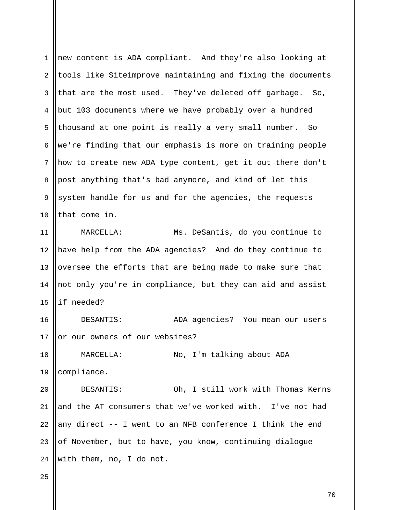| $\mathbf 1$ | new content is ADA compliant. And they're also looking at   |
|-------------|-------------------------------------------------------------|
| 2           | tools like Siteimprove maintaining and fixing the documents |
| 3           | that are the most used. They've deleted off garbage.<br>So, |
| 4           | but 103 documents where we have probably over a hundred     |
| 5           | thousand at one point is really a very small number.<br>So  |
| 6           | we're finding that our emphasis is more on training people  |
| 7           | how to create new ADA type content, get it out there don't  |
| 8           | post anything that's bad anymore, and kind of let this      |
| 9           | system handle for us and for the agencies, the requests     |
| 10          | that come in.                                               |
| 11          | Ms. DeSantis, do you continue to<br>MARCELLA:               |
| 12          | have help from the ADA agencies? And do they continue to    |
| 13          | oversee the efforts that are being made to make sure that   |
| 14          | not only you're in compliance, but they can aid and assist  |
| 15          | if needed?                                                  |
| 16          | DESANTIS:<br>ADA agencies? You mean our users               |
| 17          | or our owners of our websites?                              |
| 18          | No, I'm talking about ADA<br>MARCELLA:                      |
| 19          | compliance.                                                 |
| 20          | DESANTIS:<br>Oh, I still work with Thomas Kerns             |
| 21          | and the AT consumers that we've worked with. I've not had   |
| 22          | any direct -- I went to an NFB conference I think the end   |
| 23          | of November, but to have, you know, continuing dialogue     |
| 24          | with them, no, I do not.                                    |
| 25          |                                                             |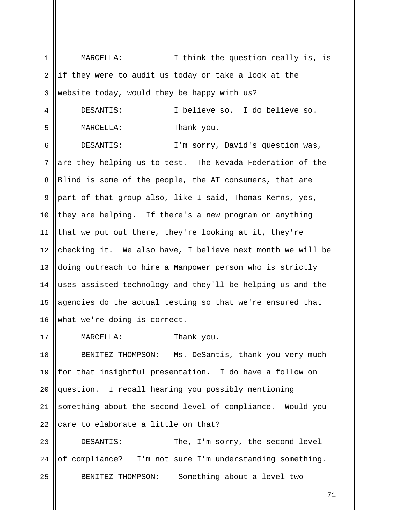1 2 3 4 5 6 7 8 9 10 11 12 13 14 15 16 17 18 19 20 21 22 23 24 25 MARCELLA: I think the question really is, is if they were to audit us today or take a look at the website today, would they be happy with us? DESANTIS: I believe so. I do believe so. MARCELLA: Thank you. DESANTIS: I'm sorry, David's question was, are they helping us to test. The Nevada Federation of the Blind is some of the people, the AT consumers, that are part of that group also, like I said, Thomas Kerns, yes, they are helping. If there's a new program or anything that we put out there, they're looking at it, they're checking it. We also have, I believe next month we will be doing outreach to hire a Manpower person who is strictly uses assisted technology and they'll be helping us and the agencies do the actual testing so that we're ensured that what we're doing is correct. MARCELLA: Thank you. BENITEZ-THOMPSON: Ms. DeSantis, thank you very much for that insightful presentation. I do have a follow on question. I recall hearing you possibly mentioning something about the second level of compliance. Would you care to elaborate a little on that? DESANTIS: The, I'm sorry, the second level of compliance? I'm not sure I'm understanding something. BENITEZ-THOMPSON: Something about a level two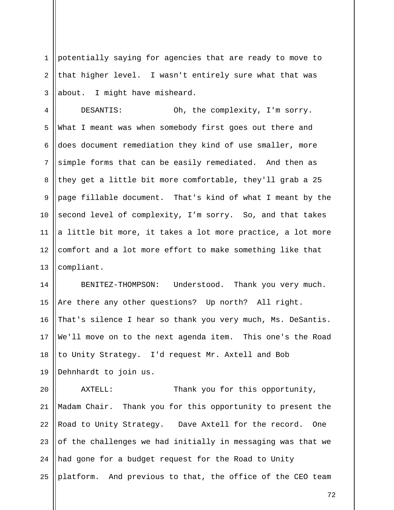1 2 3 potentially saying for agencies that are ready to move to that higher level. I wasn't entirely sure what that was about. I might have misheard.

4 5 6 7 8 9 10 11 12 13 DESANTIS: Oh, the complexity, I'm sorry. What I meant was when somebody first goes out there and does document remediation they kind of use smaller, more simple forms that can be easily remediated. And then as they get a little bit more comfortable, they'll grab a 25 page fillable document. That's kind of what I meant by the second level of complexity, I'm sorry. So, and that takes a little bit more, it takes a lot more practice, a lot more comfort and a lot more effort to make something like that compliant.

14 15 16 17 18 19 BENITEZ-THOMPSON: Understood. Thank you very much. Are there any other questions? Up north? All right. That's silence I hear so thank you very much, Ms. DeSantis. We'll move on to the next agenda item. This one's the Road to Unity Strategy. I'd request Mr. Axtell and Bob Dehnhardt to join us.

20 21 22 23 24 25 AXTELL: Thank you for this opportunity, Madam Chair. Thank you for this opportunity to present the Road to Unity Strategy. Dave Axtell for the record. One of the challenges we had initially in messaging was that we had gone for a budget request for the Road to Unity platform. And previous to that, the office of the CEO team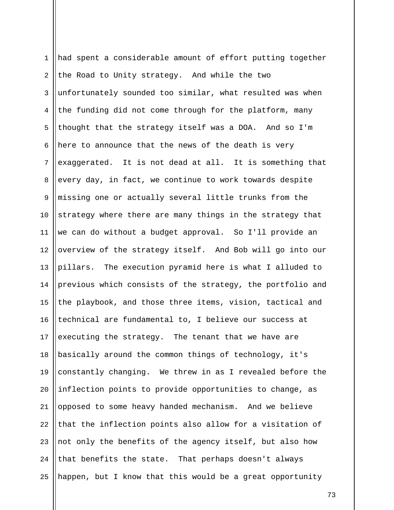| $\mathbf 1$    | had spent a considerable amount of effort putting together |
|----------------|------------------------------------------------------------|
| $\overline{2}$ | the Road to Unity strategy. And while the two              |
| 3              | unfortunately sounded too similar, what resulted was when  |
| 4              | the funding did not come through for the platform, many    |
| 5              | thought that the strategy itself was a DOA. And so I'm     |
| 6              | here to announce that the news of the death is very        |
| 7              | exaggerated. It is not dead at all. It is something that   |
| 8              | every day, in fact, we continue to work towards despite    |
| 9              | missing one or actually several little trunks from the     |
| 10             | strategy where there are many things in the strategy that  |
| 11             | we can do without a budget approval. So I'll provide an    |
| 12             | overview of the strategy itself. And Bob will go into our  |
| 13             | pillars. The execution pyramid here is what I alluded to   |
| 14             | previous which consists of the strategy, the portfolio and |
| 15             | the playbook, and those three items, vision, tactical and  |
| 16             | technical are fundamental to, I believe our success at     |
| 17             | executing the strategy. The tenant that we have are        |
| 18             | basically around the common things of technology, it's     |
| 19             | constantly changing. We threw in as I revealed before the  |
| 20             | inflection points to provide opportunities to change, as   |
| 21             | opposed to some heavy handed mechanism. And we believe     |
| 22             | that the inflection points also allow for a visitation of  |
| 23             | not only the benefits of the agency itself, but also how   |
| 24             | that benefits the state. That perhaps doesn't always       |
| 25             | happen, but I know that this would be a great opportunity  |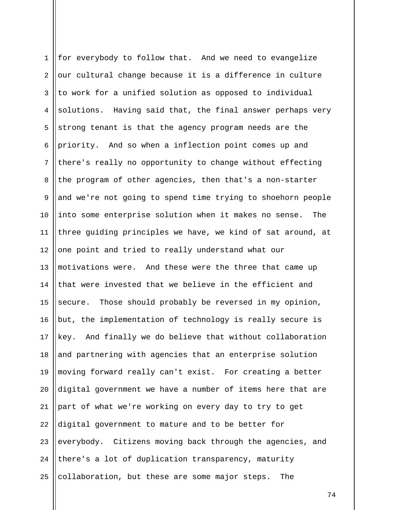1 2 3 4 5 6 7 8 9 10 11 12 13 14 15 16 17 18 19 20 21 22 23 24 25 for everybody to follow that. And we need to evangelize our cultural change because it is a difference in culture to work for a unified solution as opposed to individual solutions. Having said that, the final answer perhaps very strong tenant is that the agency program needs are the priority. And so when a inflection point comes up and there's really no opportunity to change without effecting the program of other agencies, then that's a non-starter and we're not going to spend time trying to shoehorn people into some enterprise solution when it makes no sense. The three guiding principles we have, we kind of sat around, at one point and tried to really understand what our motivations were. And these were the three that came up that were invested that we believe in the efficient and secure. Those should probably be reversed in my opinion, but, the implementation of technology is really secure is key. And finally we do believe that without collaboration and partnering with agencies that an enterprise solution moving forward really can't exist. For creating a better digital government we have a number of items here that are part of what we're working on every day to try to get digital government to mature and to be better for everybody. Citizens moving back through the agencies, and there's a lot of duplication transparency, maturity collaboration, but these are some major steps. The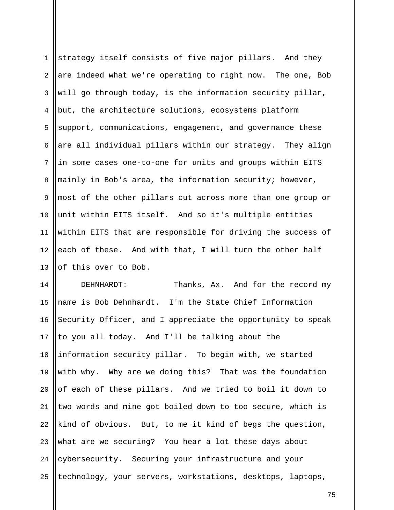1 2 3 4 5 6 7 8 9 10 11 12 13 strategy itself consists of five major pillars. And they are indeed what we're operating to right now. The one, Bob will go through today, is the information security pillar, but, the architecture solutions, ecosystems platform support, communications, engagement, and governance these are all individual pillars within our strategy. They align in some cases one-to-one for units and groups within EITS mainly in Bob's area, the information security; however, most of the other pillars cut across more than one group or unit within EITS itself. And so it's multiple entities within EITS that are responsible for driving the success of each of these. And with that, I will turn the other half of this over to Bob.

14 15 16 17 18 19 20 21 22 23 24 25 DEHNHARDT: Thanks, Ax. And for the record my name is Bob Dehnhardt. I'm the State Chief Information Security Officer, and I appreciate the opportunity to speak to you all today. And I'll be talking about the information security pillar. To begin with, we started with why. Why are we doing this? That was the foundation of each of these pillars. And we tried to boil it down to two words and mine got boiled down to too secure, which is kind of obvious. But, to me it kind of begs the question, what are we securing? You hear a lot these days about cybersecurity. Securing your infrastructure and your technology, your servers, workstations, desktops, laptops,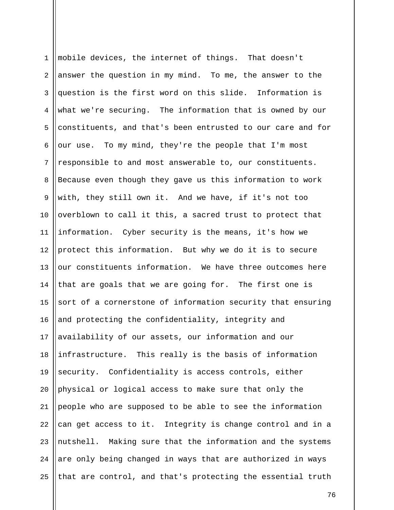1 2 3 4 5 6 7 8 9 10 11 12 13 14 15 16 17 18 19 20 21 22 23 24 25 mobile devices, the internet of things. That doesn't answer the question in my mind. To me, the answer to the question is the first word on this slide. Information is what we're securing. The information that is owned by our constituents, and that's been entrusted to our care and for our use. To my mind, they're the people that I'm most responsible to and most answerable to, our constituents. Because even though they gave us this information to work with, they still own it. And we have, if it's not too overblown to call it this, a sacred trust to protect that information. Cyber security is the means, it's how we protect this information. But why we do it is to secure our constituents information. We have three outcomes here that are goals that we are going for. The first one is sort of a cornerstone of information security that ensuring and protecting the confidentiality, integrity and availability of our assets, our information and our infrastructure. This really is the basis of information security. Confidentiality is access controls, either physical or logical access to make sure that only the people who are supposed to be able to see the information can get access to it. Integrity is change control and in a nutshell. Making sure that the information and the systems are only being changed in ways that are authorized in ways that are control, and that's protecting the essential truth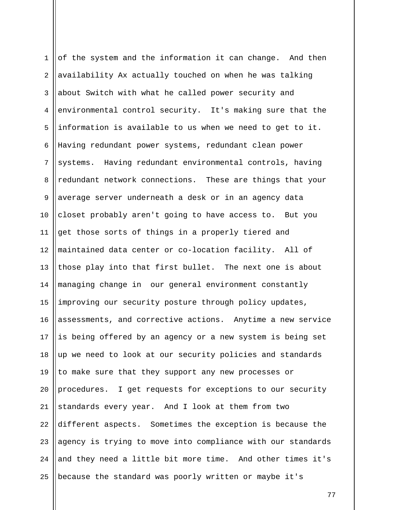1 2 3 4 5 6 7 8 9 10 11 12 13 14 15 16 17 18 19 20 21 22 23 24 25 of the system and the information it can change. And then availability Ax actually touched on when he was talking about Switch with what he called power security and environmental control security. It's making sure that the information is available to us when we need to get to it. Having redundant power systems, redundant clean power systems. Having redundant environmental controls, having redundant network connections. These are things that your average server underneath a desk or in an agency data closet probably aren't going to have access to. But you get those sorts of things in a properly tiered and maintained data center or co-location facility. All of those play into that first bullet. The next one is about managing change in our general environment constantly improving our security posture through policy updates, assessments, and corrective actions. Anytime a new service is being offered by an agency or a new system is being set up we need to look at our security policies and standards to make sure that they support any new processes or procedures. I get requests for exceptions to our security standards every year. And I look at them from two different aspects. Sometimes the exception is because the agency is trying to move into compliance with our standards and they need a little bit more time. And other times it's because the standard was poorly written or maybe it's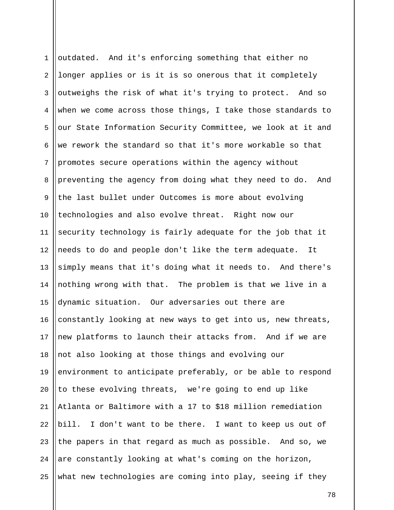1 2 3 4 5 6 7 8 9 10 11 12 13 14 15 16 17 18 19 20 21 22 23 24 25 outdated. And it's enforcing something that either no longer applies or is it is so onerous that it completely outweighs the risk of what it's trying to protect. And so when we come across those things, I take those standards to our State Information Security Committee, we look at it and we rework the standard so that it's more workable so that promotes secure operations within the agency without preventing the agency from doing what they need to do. And the last bullet under Outcomes is more about evolving technologies and also evolve threat. Right now our security technology is fairly adequate for the job that it needs to do and people don't like the term adequate. It simply means that it's doing what it needs to. And there's nothing wrong with that. The problem is that we live in a dynamic situation. Our adversaries out there are constantly looking at new ways to get into us, new threats, new platforms to launch their attacks from. And if we are not also looking at those things and evolving our environment to anticipate preferably, or be able to respond to these evolving threats, we're going to end up like Atlanta or Baltimore with a 17 to \$18 million remediation bill. I don't want to be there. I want to keep us out of the papers in that regard as much as possible. And so, we are constantly looking at what's coming on the horizon, what new technologies are coming into play, seeing if they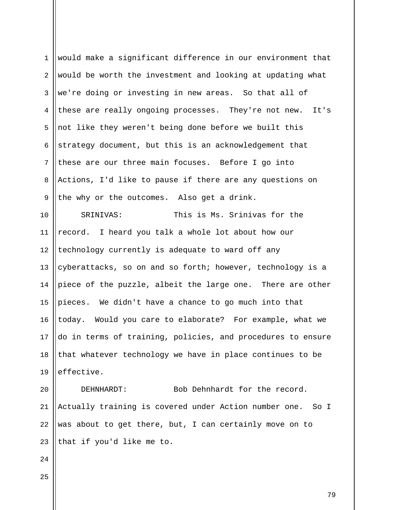| $\mathbf 1$  | would make a significant difference in our environment that   |
|--------------|---------------------------------------------------------------|
| 2            | would be worth the investment and looking at updating what    |
| $\mathbf{3}$ | we're doing or investing in new areas. So that all of         |
| 4            | these are really ongoing processes. They're not new. It's     |
| 5            | not like they weren't being done before we built this         |
| 6            | strategy document, but this is an acknowledgement that        |
| 7            | these are our three main focuses. Before I go into            |
| $\,8\,$      | Actions, I'd like to pause if there are any questions on      |
| $\mathsf 9$  | the why or the outcomes. Also get a drink.                    |
| 10           | This is Ms. Srinivas for the<br>SRINIVAS:                     |
| 11           | record. I heard you talk a whole lot about how our            |
| 12           | technology currently is adequate to ward off any              |
| 13           | cyberattacks, so on and so forth; however, technology is a    |
| 14           | piece of the puzzle, albeit the large one. There are other    |
| 15           | pieces. We didn't have a chance to go much into that          |
| 16           | today. Would you care to elaborate? For example, what we      |
| 17           | do in terms of training, policies, and procedures to ensure   |
| 18           | that whatever technology we have in place continues to be     |
| 19           | effective.                                                    |
| 20           | Bob Dehnhardt for the record.<br>DEHNHARDT:                   |
| 21           | Actually training is covered under Action number one.<br>So I |
| 22           | was about to get there, but, I can certainly move on to       |
| 23           | that if you'd like me to.                                     |
| 24           |                                                               |
| 25           |                                                               |
|              | 79                                                            |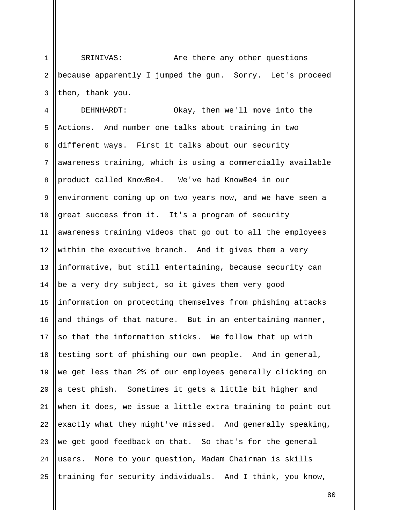1 2 3 SRINIVAS: Are there any other questions because apparently I jumped the gun. Sorry. Let's proceed then, thank you.

4 5 6 7 8 9 10 11 12 13 14 15 16 17 18 19 20 21 22 23 24 25 DEHNHARDT: Okay, then we'll move into the Actions. And number one talks about training in two different ways. First it talks about our security awareness training, which is using a commercially available product called KnowBe4. We've had KnowBe4 in our environment coming up on two years now, and we have seen a great success from it. It's a program of security awareness training videos that go out to all the employees within the executive branch. And it gives them a very informative, but still entertaining, because security can be a very dry subject, so it gives them very good information on protecting themselves from phishing attacks and things of that nature. But in an entertaining manner, so that the information sticks. We follow that up with testing sort of phishing our own people. And in general, we get less than 2% of our employees generally clicking on a test phish. Sometimes it gets a little bit higher and when it does, we issue a little extra training to point out exactly what they might've missed. And generally speaking, we get good feedback on that. So that's for the general users. More to your question, Madam Chairman is skills training for security individuals. And I think, you know,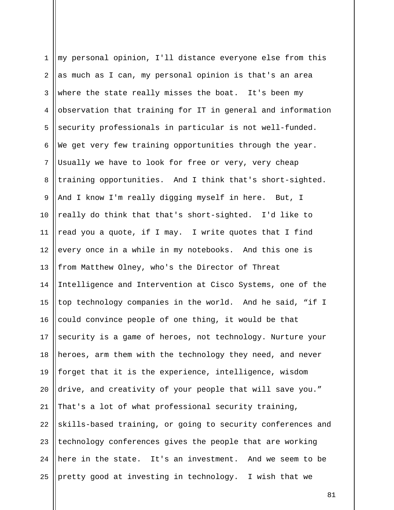| $\mathbf 1$    | my personal opinion, I'll distance everyone else from this  |
|----------------|-------------------------------------------------------------|
| $\overline{a}$ | as much as I can, my personal opinion is that's an area     |
| 3              | where the state really misses the boat. It's been my        |
| 4              | observation that training for IT in general and information |
| 5              | security professionals in particular is not well-funded.    |
| 6              | We get very few training opportunities through the year.    |
| $7\phantom{.}$ | Usually we have to look for free or very, very cheap        |
| 8              | training opportunities. And I think that's short-sighted.   |
| 9              | And I know I'm really digging myself in here. But, I        |
| 10             | really do think that that's short-sighted. I'd like to      |
| 11             | read you a quote, if I may. I write quotes that I find      |
| 12             | every once in a while in my notebooks. And this one is      |
| 13             | from Matthew Olney, who's the Director of Threat            |
| 14             | Intelligence and Intervention at Cisco Systems, one of the  |
| 15             | top technology companies in the world. And he said, "if I   |
| 16             | could convince people of one thing, it would be that        |
| 17             | security is a game of heroes, not technology. Nurture your  |
| 18             | heroes, arm them with the technology they need, and never   |
| 19             | forget that it is the experience, intelligence, wisdom      |
| 20             | drive, and creativity of your people that will save you."   |
| 21             | That's a lot of what professional security training,        |
| 22             | skills-based training, or going to security conferences and |
| 23             | technology conferences gives the people that are working    |
| 24             | here in the state. It's an investment. And we seem to be    |
| 25             | pretty good at investing in technology. I wish that we      |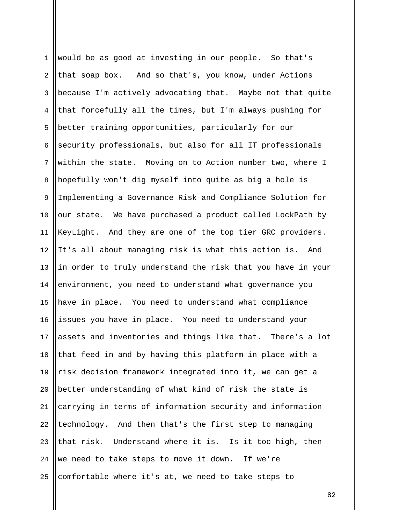| $\mathbf 1$    | would be as good at investing in our people. So that's      |
|----------------|-------------------------------------------------------------|
| $\overline{2}$ | that soap box. And so that's, you know, under Actions       |
| 3              | because I'm actively advocating that. Maybe not that quite  |
| 4              | that forcefully all the times, but I'm always pushing for   |
| 5              | better training opportunities, particularly for our         |
| 6              | security professionals, but also for all IT professionals   |
| 7              | within the state. Moving on to Action number two, where I   |
| 8              | hopefully won't dig myself into quite as big a hole is      |
| $\mathsf 9$    | Implementing a Governance Risk and Compliance Solution for  |
| 10             | our state. We have purchased a product called LockPath by   |
| 11             | KeyLight. And they are one of the top tier GRC providers.   |
| 12             | It's all about managing risk is what this action is. And    |
| 13             | in order to truly understand the risk that you have in your |
| 14             | environment, you need to understand what governance you     |
| 15             | have in place. You need to understand what compliance       |
| 16             | issues you have in place. You need to understand your       |
| 17             | assets and inventories and things like that. There's a lot  |
| 18             | that feed in and by having this platform in place with a    |
| 19             | risk decision framework integrated into it, we can get a    |
| 20             | better understanding of what kind of risk the state is      |
| 21             | carrying in terms of information security and information   |
| 22             | technology. And then that's the first step to managing      |
| 23             | that risk. Understand where it is. Is it too high, then     |
| 24             | we need to take steps to move it down. If we're             |
| 25             | comfortable where it's at, we need to take steps to         |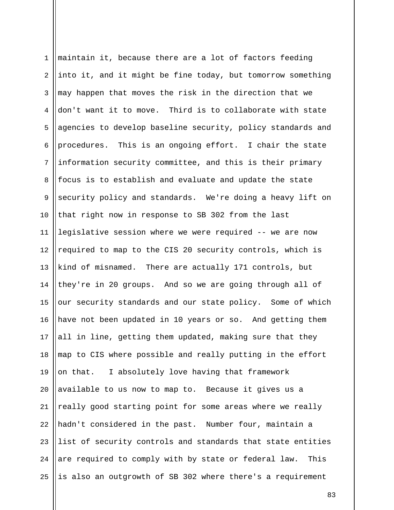| $\mathbf{1}$   | maintain it, because there are a lot of factors feeding      |
|----------------|--------------------------------------------------------------|
| $\overline{2}$ | into it, and it might be fine today, but tomorrow something  |
| 3              | may happen that moves the risk in the direction that we      |
| 4              | don't want it to move. Third is to collaborate with state    |
| 5              | agencies to develop baseline security, policy standards and  |
| 6              | procedures. This is an ongoing effort. I chair the state     |
| $\overline{7}$ | information security committee, and this is their primary    |
| 8              | focus is to establish and evaluate and update the state      |
| $\overline{9}$ | security policy and standards. We're doing a heavy lift on   |
| 10             | that right now in response to SB 302 from the last           |
| 11             | legislative session where we were required -- we are now     |
| 12             | required to map to the CIS 20 security controls, which is    |
| 13             | kind of misnamed. There are actually 171 controls, but       |
| 14             | they're in 20 groups. And so we are going through all of     |
| 15             | our security standards and our state policy. Some of which   |
| 16             | have not been updated in 10 years or so. And getting them    |
| 17             | all in line, getting them updated, making sure that they     |
| 18             | map to CIS where possible and really putting in the effort   |
| 19             | on that. I absolutely love having that framework             |
| 20             | available to us now to map to. Because it gives us a         |
| 21             | really good starting point for some areas where we really    |
| 22             | hadn't considered in the past. Number four, maintain a       |
| 23             | list of security controls and standards that state entities  |
| 24             | are required to comply with by state or federal law.<br>This |
| 25             | is also an outgrowth of SB 302 where there's a requirement   |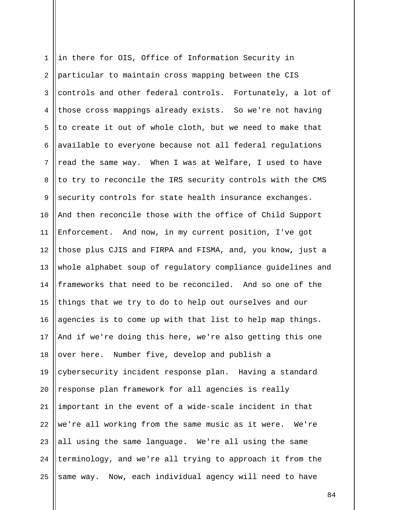1 2 3 4 5 6 7 8 9 10 11 12 13 14 15 16 17 18 19 20 21 22 23 24 25 in there for OIS, Office of Information Security in particular to maintain cross mapping between the CIS controls and other federal controls. Fortunately, a lot of those cross mappings already exists. So we're not having to create it out of whole cloth, but we need to make that available to everyone because not all federal regulations read the same way. When I was at Welfare, I used to have to try to reconcile the IRS security controls with the CMS security controls for state health insurance exchanges. And then reconcile those with the office of Child Support Enforcement. And now, in my current position, I've got those plus CJIS and FIRPA and FISMA, and, you know, just a whole alphabet soup of regulatory compliance guidelines and frameworks that need to be reconciled. And so one of the things that we try to do to help out ourselves and our agencies is to come up with that list to help map things. And if we're doing this here, we're also getting this one over here. Number five, develop and publish a cybersecurity incident response plan. Having a standard response plan framework for all agencies is really important in the event of a wide-scale incident in that we're all working from the same music as it were. We're all using the same language. We're all using the same terminology, and we're all trying to approach it from the same way. Now, each individual agency will need to have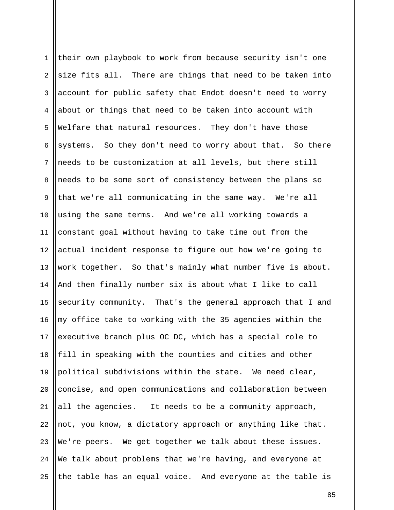1 2 3 4 5 6 7 8 9 10 11 12 13 14 15 16 17 18 19 20 21 22 23 24 25 their own playbook to work from because security isn't one size fits all. There are things that need to be taken into account for public safety that Endot doesn't need to worry about or things that need to be taken into account with Welfare that natural resources. They don't have those systems. So they don't need to worry about that. So there needs to be customization at all levels, but there still needs to be some sort of consistency between the plans so that we're all communicating in the same way. We're all using the same terms. And we're all working towards a constant goal without having to take time out from the actual incident response to figure out how we're going to work together. So that's mainly what number five is about. And then finally number six is about what I like to call security community. That's the general approach that I and my office take to working with the 35 agencies within the executive branch plus OC DC, which has a special role to fill in speaking with the counties and cities and other political subdivisions within the state. We need clear, concise, and open communications and collaboration between all the agencies. It needs to be a community approach, not, you know, a dictatory approach or anything like that. We're peers. We get together we talk about these issues. We talk about problems that we're having, and everyone at the table has an equal voice. And everyone at the table is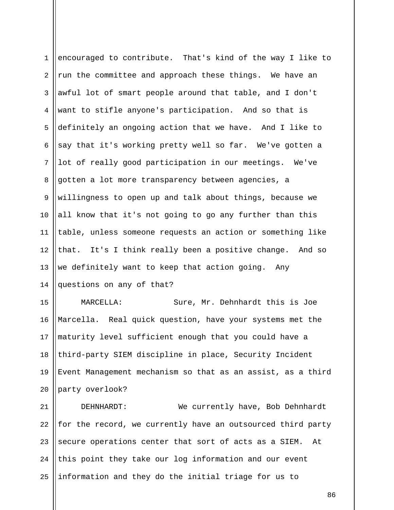| $\mathbf{1}$   | encouraged to contribute. That's kind of the way I like to  |
|----------------|-------------------------------------------------------------|
| $\overline{a}$ | run the committee and approach these things. We have an     |
| $\mathsf{3}$   | awful lot of smart people around that table, and I don't    |
| 4              | want to stifle anyone's participation. And so that is       |
| 5              | definitely an ongoing action that we have. And I like to    |
| 6              | say that it's working pretty well so far. We've gotten a    |
| $7\phantom{.}$ | lot of really good participation in our meetings. We've     |
| 8              | gotten a lot more transparency between agencies, a          |
| 9              | willingness to open up and talk about things, because we    |
| 10             | all know that it's not going to go any further than this    |
| 11             | table, unless someone requests an action or something like  |
| 12             | that. It's I think really been a positive change. And so    |
| 13             | we definitely want to keep that action going.<br>Any        |
| 14             | questions on any of that?                                   |
| 15             | MARCELLA:<br>Sure, Mr. Dehnhardt this is Joe                |
| 16             | Marcella. Real quick question, have your systems met the    |
| 17             | maturity level sufficient enough that you could have a      |
| 18             | third-party SIEM discipline in place, Security Incident     |
| 19             | Event Management mechanism so that as an assist, as a third |
| 20             | party overlook?                                             |
| 21             | We currently have, Bob Dehnhardt<br>DEHNHARDT:              |
|                |                                                             |

21 22 23 24 25  $\parallel$  for the record, we currently have an outsourced third party secure operations center that sort of acts as a SIEM. At this point they take our log information and our event information and they do the initial triage for us to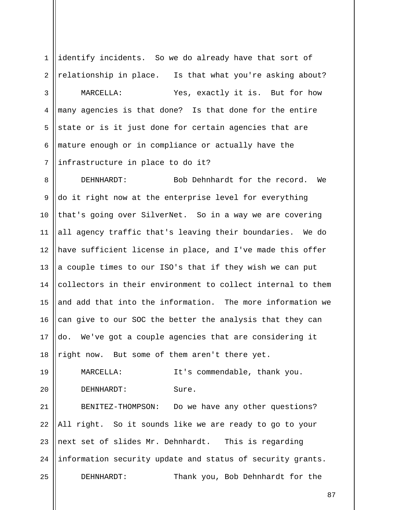1 2 3 4 5 6 7 identify incidents. So we do already have that sort of relationship in place. Is that what you're asking about? MARCELLA: Yes, exactly it is. But for how many agencies is that done? Is that done for the entire state or is it just done for certain agencies that are mature enough or in compliance or actually have the infrastructure in place to do it?

8 9 10 11 12 13 14 15 16 17 18 DEHNHARDT: Bob Dehnhardt for the record. We do it right now at the enterprise level for everything that's going over SilverNet. So in a way we are covering all agency traffic that's leaving their boundaries. We do have sufficient license in place, and I've made this offer a couple times to our ISO's that if they wish we can put collectors in their environment to collect internal to them and add that into the information. The more information we can give to our SOC the better the analysis that they can do. We've got a couple agencies that are considering it right now. But some of them aren't there yet.

19 20 MARCELLA: It's commendable, thank you. DEHNHARDT: Sure.

21 22 23 24 25 BENITEZ-THOMPSON: Do we have any other questions? All right. So it sounds like we are ready to go to your next set of slides Mr. Dehnhardt. This is regarding information security update and status of security grants. DEHNHARDT: Thank you, Bob Dehnhardt for the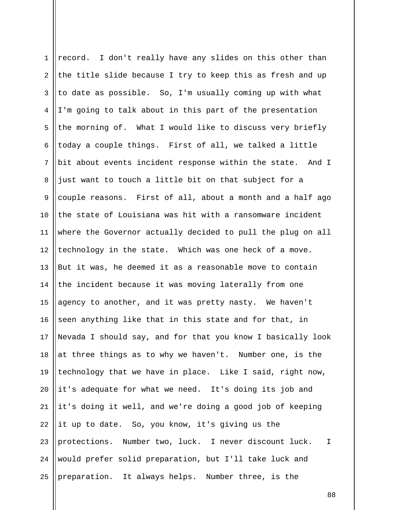| $\mathbf{1}$   | record. I don't really have any slides on this other than             |
|----------------|-----------------------------------------------------------------------|
| $\overline{a}$ | the title slide because I try to keep this as fresh and up            |
| 3              | to date as possible. So, I'm usually coming up with what              |
| 4              | I'm going to talk about in this part of the presentation              |
| 5              | the morning of. What I would like to discuss very briefly             |
| 6              | today a couple things. First of all, we talked a little               |
| $7\phantom{.}$ | bit about events incident response within the state. And I            |
| 8              | just want to touch a little bit on that subject for a                 |
| $\mathsf 9$    | couple reasons. First of all, about a month and a half ago            |
| 10             | the state of Louisiana was hit with a ransomware incident             |
| 11             | where the Governor actually decided to pull the plug on all           |
| 12             | technology in the state. Which was one heck of a move.                |
| 13             | But it was, he deemed it as a reasonable move to contain              |
| 14             | the incident because it was moving laterally from one                 |
| 15             | agency to another, and it was pretty nasty. We haven't                |
| 16             | seen anything like that in this state and for that, in                |
| 17             | Nevada I should say, and for that you know I basically look           |
| 18             | at three things as to why we haven't. Number one, is the              |
| 19             | technology that we have in place. Like I said, right now,             |
| 20             | it's adequate for what we need. It's doing its job and                |
| 21             | it's doing it well, and we're doing a good job of keeping             |
| 22             | it up to date. So, you know, it's giving us the                       |
| 23             | protections. Number two, luck. I never discount luck.<br>$\mathbf{I}$ |
| 24             | would prefer solid preparation, but I'll take luck and                |
| 25             | preparation. It always helps. Number three, is the                    |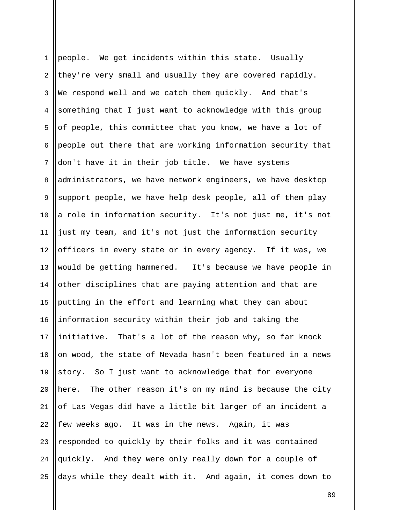1 2 3 4 5 6 7 8 9 10 11 12 13 14 15 16 17 18 19 20 21 22 23 24 25 people. We get incidents within this state. Usually they're very small and usually they are covered rapidly. We respond well and we catch them quickly. And that's something that I just want to acknowledge with this group of people, this committee that you know, we have a lot of people out there that are working information security that don't have it in their job title. We have systems administrators, we have network engineers, we have desktop support people, we have help desk people, all of them play a role in information security. It's not just me, it's not just my team, and it's not just the information security officers in every state or in every agency. If it was, we would be getting hammered. It's because we have people in other disciplines that are paying attention and that are putting in the effort and learning what they can about information security within their job and taking the initiative. That's a lot of the reason why, so far knock on wood, the state of Nevada hasn't been featured in a news story. So I just want to acknowledge that for everyone here. The other reason it's on my mind is because the city of Las Vegas did have a little bit larger of an incident a few weeks ago. It was in the news. Again, it was responded to quickly by their folks and it was contained quickly. And they were only really down for a couple of days while they dealt with it. And again, it comes down to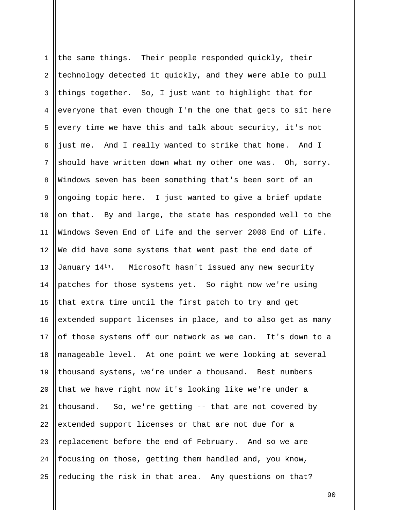1 2 3 4 5 6 7 8 9 10 11 12 13 14 15 16 17 18 19 20 21 22 23 24 25 the same things. Their people responded quickly, their technology detected it quickly, and they were able to pull things together. So, I just want to highlight that for everyone that even though I'm the one that gets to sit here every time we have this and talk about security, it's not just me. And I really wanted to strike that home. And I should have written down what my other one was. Oh, sorry. Windows seven has been something that's been sort of an ongoing topic here. I just wanted to give a brief update on that. By and large, the state has responded well to the Windows Seven End of Life and the server 2008 End of Life. We did have some systems that went past the end date of January 14th. Microsoft hasn't issued any new security patches for those systems yet. So right now we're using that extra time until the first patch to try and get extended support licenses in place, and to also get as many of those systems off our network as we can. It's down to a manageable level. At one point we were looking at several thousand systems, we're under a thousand. Best numbers that we have right now it's looking like we're under a thousand. So, we're getting -- that are not covered by extended support licenses or that are not due for a replacement before the end of February. And so we are focusing on those, getting them handled and, you know, reducing the risk in that area. Any questions on that?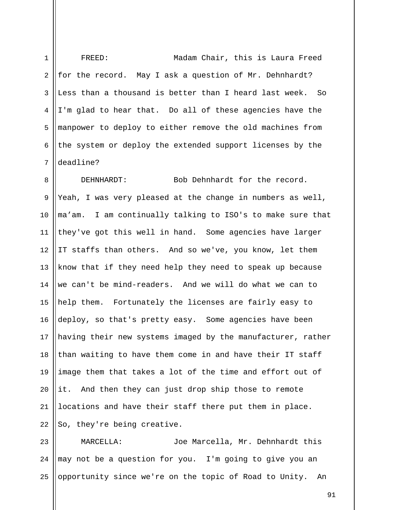1 2 3 4 5 6 7 FREED: Madam Chair, this is Laura Freed for the record. May I ask a question of Mr. Dehnhardt? Less than a thousand is better than I heard last week. So I'm glad to hear that. Do all of these agencies have the manpower to deploy to either remove the old machines from the system or deploy the extended support licenses by the deadline?

8 9 10 11 12 13 14 15 16 17 18 19 20 21 22 DEHNHARDT: Bob Dehnhardt for the record. Yeah, I was very pleased at the change in numbers as well, ma'am. I am continually talking to ISO's to make sure that they've got this well in hand. Some agencies have larger IT staffs than others. And so we've, you know, let them know that if they need help they need to speak up because we can't be mind-readers. And we will do what we can to help them. Fortunately the licenses are fairly easy to deploy, so that's pretty easy. Some agencies have been having their new systems imaged by the manufacturer, rather than waiting to have them come in and have their IT staff image them that takes a lot of the time and effort out of it. And then they can just drop ship those to remote locations and have their staff there put them in place. So, they're being creative.

23 24 25 MARCELLA: Joe Marcella, Mr. Dehnhardt this may not be a question for you. I'm going to give you an opportunity since we're on the topic of Road to Unity. An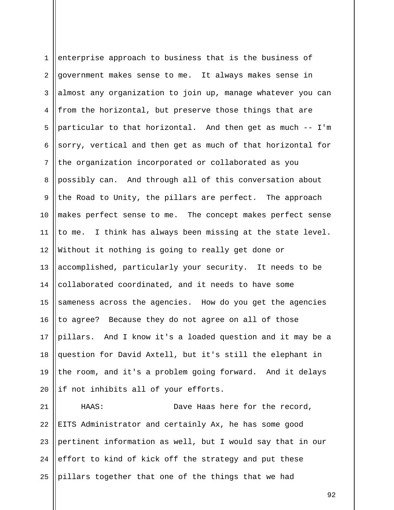1 2 3 4 5 6 7 8 9 10 11 12 13 14 15 16 17 18 19 20 enterprise approach to business that is the business of government makes sense to me. It always makes sense in almost any organization to join up, manage whatever you can from the horizontal, but preserve those things that are particular to that horizontal. And then get as much -- I'm sorry, vertical and then get as much of that horizontal for the organization incorporated or collaborated as you possibly can. And through all of this conversation about the Road to Unity, the pillars are perfect. The approach makes perfect sense to me. The concept makes perfect sense to me. I think has always been missing at the state level. Without it nothing is going to really get done or accomplished, particularly your security. It needs to be collaborated coordinated, and it needs to have some sameness across the agencies. How do you get the agencies to agree? Because they do not agree on all of those pillars. And I know it's a loaded question and it may be a question for David Axtell, but it's still the elephant in the room, and it's a problem going forward. And it delays if not inhibits all of your efforts.

21 22 23 24 25 HAAS: Dave Haas here for the record, EITS Administrator and certainly Ax, he has some good pertinent information as well, but I would say that in our effort to kind of kick off the strategy and put these pillars together that one of the things that we had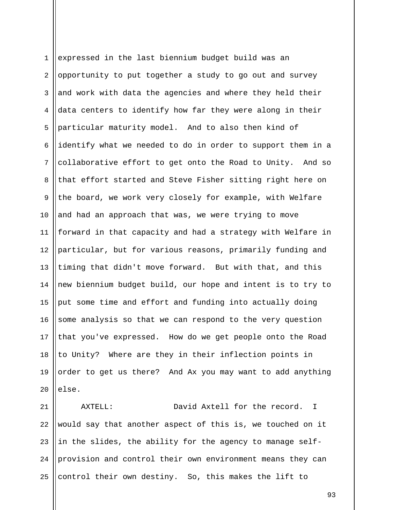1 2 3 4 5 6 7 8 9 10 11 12 13 14 15 16 17 18 19 20 expressed in the last biennium budget build was an opportunity to put together a study to go out and survey and work with data the agencies and where they held their data centers to identify how far they were along in their particular maturity model. And to also then kind of identify what we needed to do in order to support them in a collaborative effort to get onto the Road to Unity. And so that effort started and Steve Fisher sitting right here on the board, we work very closely for example, with Welfare and had an approach that was, we were trying to move forward in that capacity and had a strategy with Welfare in particular, but for various reasons, primarily funding and timing that didn't move forward. But with that, and this new biennium budget build, our hope and intent is to try to put some time and effort and funding into actually doing some analysis so that we can respond to the very question that you've expressed. How do we get people onto the Road to Unity? Where are they in their inflection points in order to get us there? And Ax you may want to add anything else.

21 22 23 24 25 AXTELL: David Axtell for the record. I would say that another aspect of this is, we touched on it in the slides, the ability for the agency to manage selfprovision and control their own environment means they can control their own destiny. So, this makes the lift to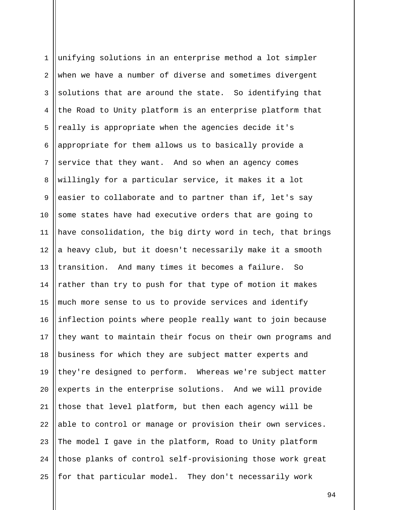1 2 3 4 5 6 7 8 9 10 11 12 13 14 15 16 17 18 19 20 21 22 23 24 25 unifying solutions in an enterprise method a lot simpler when we have a number of diverse and sometimes divergent solutions that are around the state. So identifying that the Road to Unity platform is an enterprise platform that really is appropriate when the agencies decide it's appropriate for them allows us to basically provide a service that they want. And so when an agency comes willingly for a particular service, it makes it a lot easier to collaborate and to partner than if, let's say some states have had executive orders that are going to have consolidation, the big dirty word in tech, that brings a heavy club, but it doesn't necessarily make it a smooth transition. And many times it becomes a failure. So rather than try to push for that type of motion it makes much more sense to us to provide services and identify inflection points where people really want to join because they want to maintain their focus on their own programs and business for which they are subject matter experts and they're designed to perform. Whereas we're subject matter experts in the enterprise solutions. And we will provide those that level platform, but then each agency will be able to control or manage or provision their own services. The model I gave in the platform, Road to Unity platform those planks of control self-provisioning those work great for that particular model. They don't necessarily work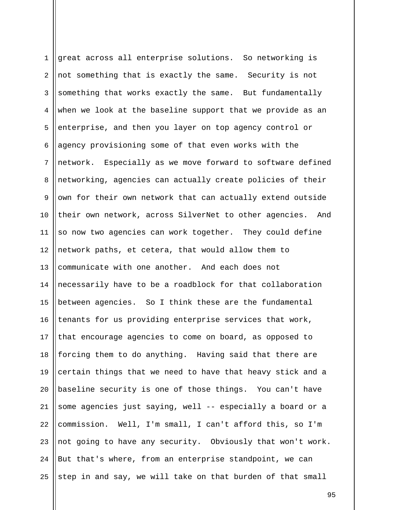1 2 3 4 5 6 7 8 9 10 11 12 13 14 15 16 17 18 19 20 21 22 23 24 25 great across all enterprise solutions. So networking is not something that is exactly the same. Security is not something that works exactly the same. But fundamentally when we look at the baseline support that we provide as an enterprise, and then you layer on top agency control or agency provisioning some of that even works with the network. Especially as we move forward to software defined networking, agencies can actually create policies of their own for their own network that can actually extend outside their own network, across SilverNet to other agencies. And so now two agencies can work together. They could define network paths, et cetera, that would allow them to communicate with one another. And each does not necessarily have to be a roadblock for that collaboration between agencies. So I think these are the fundamental tenants for us providing enterprise services that work, that encourage agencies to come on board, as opposed to forcing them to do anything. Having said that there are certain things that we need to have that heavy stick and a baseline security is one of those things. You can't have some agencies just saying, well -- especially a board or a commission. Well, I'm small, I can't afford this, so I'm not going to have any security. Obviously that won't work. But that's where, from an enterprise standpoint, we can step in and say, we will take on that burden of that small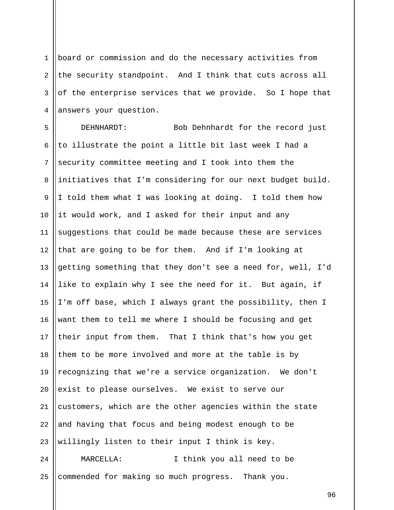1 2 3 4 board or commission and do the necessary activities from the security standpoint. And I think that cuts across all of the enterprise services that we provide. So I hope that answers your question.

5 6 7 8 9 10 11 12 13 14 15 16 17 18 19 20 21 22 23 24 DEHNHARDT: Bob Dehnhardt for the record just to illustrate the point a little bit last week I had a security committee meeting and I took into them the initiatives that I'm considering for our next budget build. I told them what I was looking at doing. I told them how it would work, and I asked for their input and any suggestions that could be made because these are services that are going to be for them. And if I'm looking at getting something that they don't see a need for, well, I'd like to explain why I see the need for it. But again, if I'm off base, which I always grant the possibility, then I want them to tell me where I should be focusing and get their input from them. That I think that's how you get them to be more involved and more at the table is by recognizing that we're a service organization. We don't exist to please ourselves. We exist to serve our customers, which are the other agencies within the state and having that focus and being modest enough to be willingly listen to their input I think is key. MARCELLA: I think you all need to be

commended for making so much progress. Thank you.

25